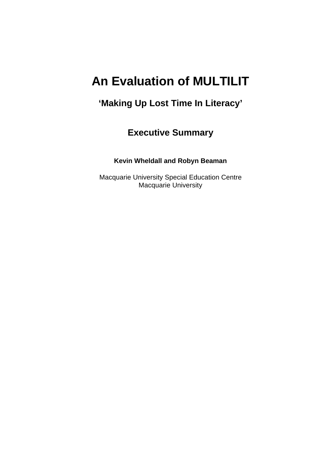# **An Evaluation of MULTILIT**

# **'Making Up Lost Time In Literacy'**

# **Executive Summary**

### **Kevin Wheldall and Robyn Beaman**

Macquarie University Special Education Centre Macquarie University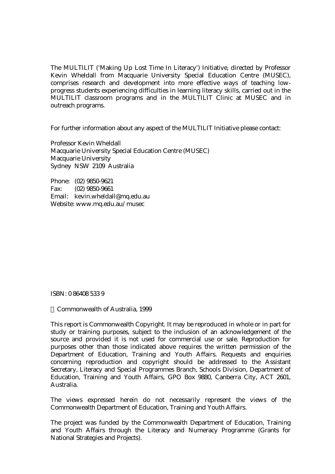The MULTILIT ('Making Up Lost Time In Literacy') Initiative, directed by Professor Kevin Wheldall from Macquarie University Special Education Centre (MUSEC), comprises research and development into more effective ways of teaching lowprogress students experiencing difficulties in learning literacy skills, carried out in the MULTILIT classroom programs and in the MULTILIT Clinic at MUSEC and in outreach programs.

For further information about any aspect of the MULTILIT Initiative please contact:

Professor Kevin Wheldall Macquarie University Special Education Centre (MUSEC) Macquarie University Sydney NSW 2109 Australia

Phone: (02) 9850-9621 Fax: (02) 9850-9661 Email: kevin.wheldall@mq.edu.au Website: www.mq.edu.au/musec

ISBN: 0 86408 533 9

© Commonwealth of Australia, 1999

This report is Commonwealth Copyright. It may be reproduced in whole or in part for study or training purposes, subject to the inclusion of an acknowledgement of the source and provided it is not used for commercial use or sale. Reproduction for purposes other than those indicated above requires the written permission of the Department of Education, Training and Youth Affairs. Requests and enquiries concerning reproduction and copyright should be addressed to the Assistant Secretary, Literacy and Special Programmes Branch, Schools Division, Department of Education, Training and Youth Affairs, GPO Box 9880, Canberra City, ACT 2601, Australia.

The views expressed herein do not necessarily represent the views of the Commonwealth Department of Education, Training and Youth Affairs.

The project was funded by the Commonwealth Department of Education, Training and Youth Affairs through the Literacy and Numeracy Programme (Grants for National Strategies and Projects).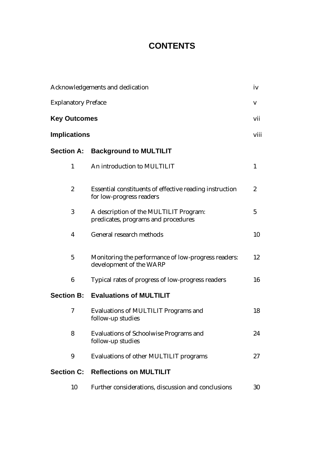# **CONTENTS**

| Acknowledgements and dedication |                                                                                     |              |
|---------------------------------|-------------------------------------------------------------------------------------|--------------|
| <b>Explanatory Preface</b>      |                                                                                     |              |
| <b>Key Outcomes</b>             |                                                                                     |              |
| <b>Implications</b>             |                                                                                     | viii         |
| <b>Section A:</b>               | <b>Background to MULTILIT</b>                                                       |              |
| $\mathbf{1}$                    | An introduction to MULTILIT                                                         | $\mathbf{1}$ |
| $\boldsymbol{2}$                | Essential constituents of effective reading instruction<br>for low-progress readers | 2            |
| 3                               | A description of the MULTILIT Program:<br>predicates, programs and procedures       | 5            |
| 4                               | General research methods                                                            | 10           |
| $\mathbf 5$                     | Monitoring the performance of low-progress readers:<br>development of the WARP      | 12           |
| $6\phantom{1}$                  | Typical rates of progress of low-progress readers                                   | 16           |
| <b>Section B:</b>               | <b>Evaluations of MULTILIT</b>                                                      |              |
| 7                               | Evaluations of MULTILIT Programs and<br>follow-up studies                           | 18           |
| 8                               | <b>Evaluations of Schoolwise Programs and</b><br>follow-up studies                  | 24           |
| 9                               | Evaluations of other MULTILIT programs                                              | 27           |
| <b>Section C:</b>               | <b>Reflections on MULTILIT</b>                                                      |              |
| 10                              | Further considerations, discussion and conclusions                                  | 30           |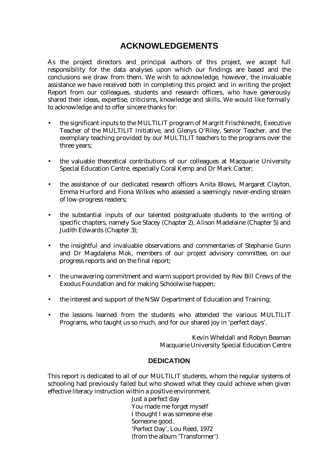## **ACKNOWLEDGEMENTS**

As the project directors and principal authors of this project, we accept full responsibility for the data analyses upon which our findings are based and the conclusions we draw from them. We wish to acknowledge, however, the invaluable assistance we have received both in completing this project and in writing the project Report from our colleagues, students and research officers, who have generously shared their ideas, expertise, criticisms, knowledge and skills. We would like formally to acknowledge and to offer sincere thanks for:

- the significant inputs to the MULTILIT program of Margrit Frischknecht, Executive Teacher of the MULTILIT Initiative, and Glenys O'Riley, Senior Teacher, and the exemplary teaching provided by our MULTILIT teachers to the programs over the three years;
- the valuable theoretical contributions of our colleagues at Macquarie University Special Education Centre, especially Coral Kemp and Dr Mark Carter;
- the assistance of our dedicated research officers Anita Blows, Margaret Clayton, Emma Hurford and Fiona Wilkes who assessed a seemingly never-ending stream of low-progress readers;
- the substantial inputs of our talented postgraduate students to the writing of specific chapters, namely Sue Stacey (Chapter 2), Alison Madelaine (Chapter 5) and Judith Edwards (Chapter 3);
- the insightful and invaluable observations and commentaries of Stephanie Gunn and Dr Magdalena Mok, members of our project advisory committee, on our progress reports and on the final report;
- the unwavering commitment and warm support provided by Rev Bill Crews of the Exodus Foundation and for making Schoolwise happen;
- the interest and support of the NSW Department of Education and Training;
- the lessons learned from the students who attended the various MULTILIT Programs, who taught us so much, and for our shared joy in 'perfect days'.

Kevin Wheldall and Robyn Beaman Macquarie University Special Education Centre

#### **DEDICATION**

This report is dedicated to all of our MULTILIT students, whom the regular systems of schooling had previously failed but who showed what they could achieve when given effective literacy instruction within a positive environment.

Just a perfect day You made me forget myself I thought I was someone else Someone good. 'Perfect Day', Lou Reed, 1972 (from the album 'Transformer')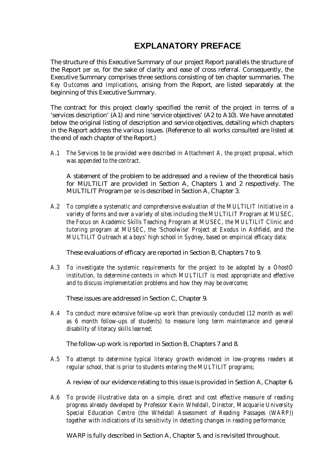# **EXPLANATORY PREFACE**

The structure of this Executive Summary of our project Report parallels the structure of the Report *per se*, for the sake of clarity and ease of cross referral. Consequently, the Executive Summary comprises three sections consisting of ten chapter summaries. The *Key Outcomes* and *Implications,* arising from the Report, are listed separately at the beginning of this Executive Summary.

The contract for this project clearly specified the remit of the project in terms of a 'services description' (A1) and nine 'service objectives' (A2 to A10). We have annotated below the original listing of description and service objectives, detailing which chapters in the Report address the various issues. (Reference to all works consulted are listed at the end of each chapter of the Report.)

*A.1 The Services to be provided were described in Attachment A, the project proposal, which was appended to the contract.*

A statement of the problem to be addressed and a review of the theoretical basis for MULTILIT are provided in Section A, Chapters 1 and 2 respectively. The MULTILIT Program *per se* is described in Section A, Chapter 3.

*A.2 To complete a systematic and comprehensive evaluation of the MULTILIT Initiative in a variety of forms and over a variety of sites including the MULTILIT Program at MUSEC, the Focus on Academic Skills Teaching Program at MUSEC, the MULTILIT Clinic and tutoring program at MUSEC, the 'Schoolwise' Project at Exodus in Ashfield, and the MULTILIT Outreach at a boys' high school in Sydney, based on empirical efficacy data;*

These evaluations of efficacy are reported in Section B, Chapters 7 to 9.

*A.3 To investigate the systemic requirements for the project to be adopted by a ÒhostÓ institution, to determine contexts in which MULTILIT is most appropriate and effective and to discuss implementation problems and how they may be overcome;*

These issues are addressed in Section C, Chapter 9.

*A.4 To conduct more extensive follow-up work than previously conducted (12 month as well as 6 month follow-ups of students) to measure long term maintenance and general disability of literacy skills learned;*

The follow-up work is reported in Section B, Chapters 7 and 8.

*A.5 To attempt to determine typical literacy growth evidenced in low-progress readers at regular school, that is prior to students entering the MULTILIT programs;*

A review of our evidence relating to this issue is provided in Section A, Chapter 6.

*A.6 To provide illustrative data on a simple, direct and cost effective measure of reading progress already developed by Professor Kevin Wheldall, Director, Macquarie University Special Education Centre (the Wheldall Assessment of Reading Passages (WARP)) together with indications of its sensitivity in detecting changes in reading performance;*

WARP is fully described in Section A, Chapter 5, and is revisited throughout.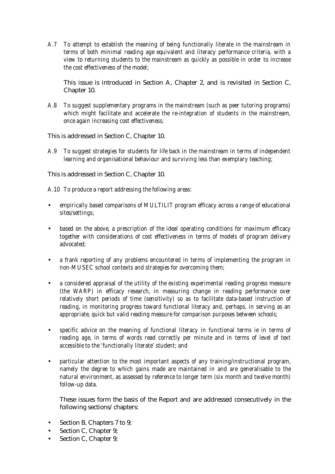*A.7 To attempt to establish the meaning of being functionally literate in the mainstream in terms of both minimal reading age equivalent and literacy performance criteria, with a view to returning students to the mainstream as quickly as possible in order to increase the cost effectiveness of the model;*

This issue is introduced in Section A, Chapter 2, and is revisited in Section C, Chapter 10.

*A.8 To suggest supplementary programs in the mainstream (such as peer tutoring programs) which might facilitate and accelerate the re-integration of students in the mainstream, once again increasing cost effectiveness;*

This is addressed in Section C, Chapter 10.

*A.9 To suggest strategies for students for life back in the mainstream in terms of independent learning and organisational behaviour and surviving less than exemplary teaching;*

This is addressed in Section C, Chapter 10.

*A.10 To produce a report addressing the following areas:*

- *empirically based comparisons of MULTILIT program efficacy across a range of educational sites/settings;*
- *based on the above, a prescription of the ideal operating conditions for maximum efficacy together with considerations of cost effectiveness in terms of models of program delivery advocated;*
- *a frank reporting of any problems encountered in terms of implementing the program in non-MUSEC school contexts and strategies for overcoming them;*
- *a considered appraisal of the utility of the existing experimental reading progress measure (the WARP) in efficacy research, in measuring change in reading performance over relatively short periods of time (sensitivity) so as to facilitate data-based instruction of reading, in monitoring progress toward functional literacy and, perhaps, in serving as an appropriate, quick but valid reading measure for comparison purposes between schools;*
- *specific advice on the meaning of functional literacy in functional terms ie in terms of reading age, in terms of words read correctly per minute and in terms of level of text accessible to the 'functionally literate' student; and*
- *particular attention to the most important aspects of any training/instructional program, namely the degree to which gains made are maintained in and are generalisable to the natural environment, as assessed by reference to longer term (six month and twelve month) follow-up data.*

These issues form the basis of the Report and are addressed consecutively in the following sections/chapters:

- Section B, Chapters 7 to 9;
- Section C, Chapter 9;
- Section C, Chapter 9;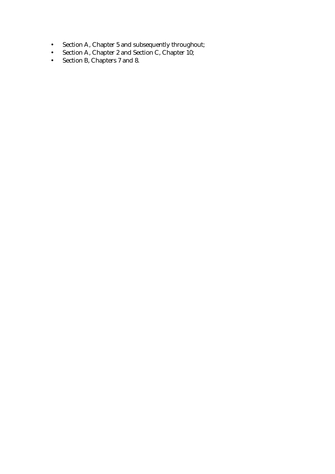- Section A, Chapter 5 and subsequently throughout;
- Section A, Chapter 2 and Section C, Chapter 10;
- Section B, Chapters 7 and 8.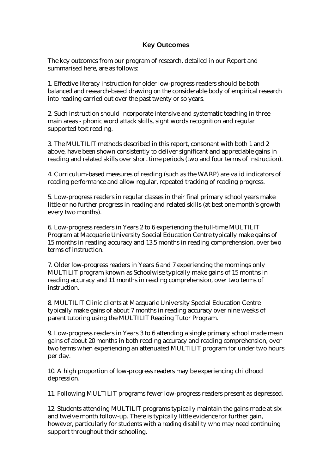#### **Key Outcomes**

The key outcomes from our program of research, detailed in our Report and summarised here, are as follows:

1. Effective literacy instruction for older low-progress readers should be both balanced and research-based drawing on the considerable body of empirical research into reading carried out over the past twenty or so years.

2. Such instruction should incorporate intensive and systematic teaching in three main areas - phonic word attack skills, sight words recognition and regular supported text reading.

3. The MULTILIT methods described in this report, consonant with both 1 and 2 above, have been shown consistently to deliver significant and appreciable gains in reading and related skills over short time periods (two and four terms of instruction).

4. Curriculum-based measures of reading (such as the WARP) are valid indicators of reading performance and allow regular, repeated tracking of reading progress.

5. Low-progress readers in regular classes in their final primary school years make little or no further progress in reading and related skills (at best one month's growth every two months).

6. Low-progress readers in Years 2 to 6 experiencing the full-time MULTILIT Program at Macquarie University Special Education Centre typically make gains of 15 months in reading accuracy and 13.5 months in reading comprehension, over two terms of instruction.

7. Older low-progress readers in Years 6 and 7 experiencing the mornings only MULTILIT program known as Schoolwise typically make gains of 15 months in reading accuracy and 11 months in reading comprehension, over two terms of instruction.

8. MULTILIT Clinic clients at Macquarie University Special Education Centre typically make gains of about 7 months in reading accuracy over nine weeks of parent tutoring using the MULTILIT Reading Tutor Program.

9. Low-progress readers in Years 3 to 6 attending a single primary school made mean gains of about 20 months in both reading accuracy and reading comprehension, over two terms when experiencing an attenuated MULTILIT program for under two hours per day.

10. A high proportion of low-progress readers may be experiencing childhood depression.

11. Following MULTILIT programs fewer low-progress readers present as depressed.

12. Students attending MULTILIT programs typically maintain the gains made at six and twelve month follow-up. There is typically little evidence for further gain, however, particularly for students with a *reading disability* who may need continuing support throughout their schooling.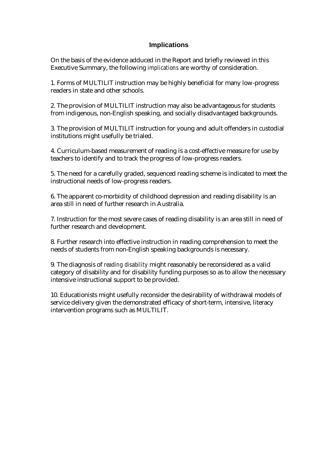#### **Implications**

On the basis of the evidence adduced in the Report and briefly reviewed in this Executive Summary, the following *implications* are worthy of consideration.

1. Forms of MULTILIT instruction may be highly beneficial for many low-progress readers in state and other schools.

2. The provision of MULTILIT instruction may also be advantageous for students from indigenous, non-English speaking, and socially disadvantaged backgrounds.

3. The provision of MULTILIT instruction for young and adult offenders in custodial institutions might usefully be trialed.

4. Curriculum-based measurement of reading is a cost-effective measure for use by teachers to identify and to track the progress of low-progress readers.

5. The need for a carefully graded, sequenced reading scheme is indicated to meet the instructional needs of low-progress readers.

6. The apparent co-morbidity of childhood depression and reading disability is an area still in need of further research in Australia.

7. Instruction for the most severe cases of reading disability is an area still in need of further research and development.

8. Further research into effective instruction in reading comprehension to meet the needs of students from non-English speaking backgrounds is necessary.

9. The diagnosis of *reading disability* might reasonably be reconsidered as a valid category of disability and for disability funding purposes so as to allow the necessary intensive instructional support to be provided.

10. Educationists might usefully reconsider the desirability of withdrawal models of service delivery given the demonstrated efficacy of short-term, intensive, literacy intervention programs such as MULTILIT.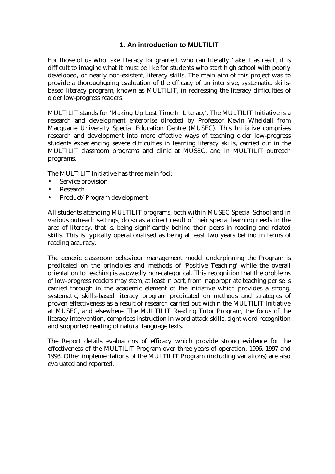#### **1. An introduction to MULTILIT**

For those of us who take literacy for granted, who can literally 'take it as read', it is difficult to imagine what it must be like for students who start high school with poorly developed, or nearly non-existent, literacy skills. The main aim of this project was to provide a thoroughgoing evaluation of the efficacy of an intensive, systematic, skillsbased literacy program, known as MULTILIT, in redressing the literacy difficulties of older low-progress readers.

MULTILIT stands for 'Making Up Lost Time In Literacy'. The MULTILIT Initiative is a research and development enterprise directed by Professor Kevin Wheldall from Macquarie University Special Education Centre (MUSEC). This Initiative comprises research and development into more effective ways of teaching older low-progress students experiencing severe difficulties in learning literacy skills, carried out in the MULTILIT classroom programs and clinic at MUSEC, and in MULTILIT outreach programs.

The MULTILIT Initiative has three main foci:

- Service provision
- Research
- Product/Program development

All students attending MULTILIT programs, both within MUSEC Special School and in various outreach settings, do so as a direct result of their special learning needs in the area of literacy, that is, being significantly behind their peers in reading and related skills. This is typically operationalised as being at least two years behind in terms of reading accuracy.

The generic classroom behaviour management model underpinning the Program is predicated on the principles and methods of 'Positive Teaching' while the overall orientation to teaching is avowedly non-categorical. This recognition that the problems of low-progress readers may stem, at least in part, from inappropriate teaching per se is carried through in the academic element of the initiative which provides a strong, systematic, skills-based literacy program predicated on methods and strategies of proven effectiveness as a result of research carried out within the MULTILIT Initiative at MUSEC, and elsewhere. The MULTILIT Reading Tutor Program, the focus of the literacy intervention, comprises instruction in word attack skills, sight word recognition and supported reading of natural language texts.

The Report details evaluations of efficacy which provide strong evidence for the effectiveness of the MULTILIT Program over three years of operation, 1996, 1997 and 1998. Other implementations of the MULTILIT Program (including variations) are also evaluated and reported.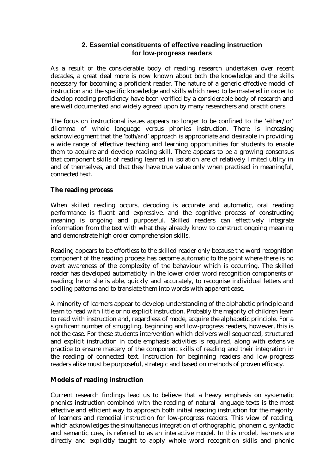#### **2. Essential constituents of effective reading instruction for low-progress readers**

As a result of the considerable body of reading research undertaken over recent decades, a great deal more is now known about both the knowledge and the skills necessary for becoming a proficient reader. The nature of a generic effective model of instruction and the specific knowledge and skills which need to be mastered in order to develop reading proficiency have been verified by a considerable body of research and are well documented and widely agreed upon by many researchers and practitioners.

The focus on instructional issues appears no longer to be confined to the 'either/or' dilemma of whole language versus phonics instruction. There is increasing acknowledgment that the '*both/and*' approach is appropriate and desirable in providing a wide range of effective teaching and learning opportunities for students to enable them to acquire and develop reading skill. There appears to be a growing consensus that component skills of reading learned in isolation are of relatively limited utility in and of themselves, and that they have true value only when practised in meaningful, connected text.

#### **The reading process**

When skilled reading occurs, decoding is accurate and automatic, oral reading performance is fluent and expressive, and the cognitive process of constructing meaning is ongoing and purposeful. Skilled readers can effectively integrate information from the text with what they already know to construct ongoing meaning and demonstrate high order comprehension skills.

Reading appears to be effortless to the skilled reader only because the word recognition component of the reading process has become automatic to the point where there is no overt awareness of the complexity of the behaviour which is occurring. The skilled reader has developed automaticity in the lower order word recognition components of reading; he or she is able, quickly and accurately, to recognise individual letters and spelling patterns and to translate them into words with apparent ease.

A minority of learners appear to develop understanding of the alphabetic principle and learn to read with little or no explicit instruction. Probably the majority of children learn to read with instruction and, regardless of mode, acquire the alphabetic principle. For a significant number of struggling, beginning and low-progress readers, however, this is not the case. For these students intervention which delivers well sequenced, structured and explicit instruction in code emphasis activities is required, along with extensive practice to ensure mastery of the component skills of reading and their integration in the reading of connected text. Instruction for beginning readers and low-progress readers alike must be purposeful, strategic and based on methods of proven efficacy.

### **Models of reading instruction**

Current research findings lead us to believe that a heavy emphasis on systematic phonics instruction combined with the reading of natural language texts is the most effective and efficient way to approach both initial reading instruction for the majority of learners and remedial instruction for low-progress readers. This view of reading, which acknowledges the simultaneous integration of orthographic, phonemic, syntactic and semantic cues, is referred to as an interactive model. In this model, learners are directly and explicitly taught to apply whole word recognition skills and phonic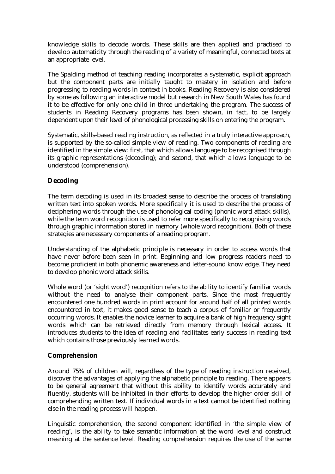knowledge skills to decode words. These skills are then applied and practised to develop automaticity through the reading of a variety of meaningful, connected texts at an appropriate level.

The Spalding method of teaching reading incorporates a systematic, explicit approach but the component parts are initially taught to mastery in isolation and before progressing to reading words in context in books. Reading Recovery is also considered by some as following an interactive model but research in New South Wales has found it to be effective for only one child in three undertaking the program. The success of students in Reading Recovery programs has been shown, in fact, to be largely dependent upon their level of phonological processing skills on entering the program.

Systematic, skills-based reading instruction, as reflected in a truly interactive approach, is supported by the so-called simple view of reading. Two components of reading are identified in the simple view: first, that which allows language to be recognised through its graphic representations (decoding); and second, that which allows language to be understood (comprehension).

### **Decoding**

The term decoding is used in its broadest sense to describe the process of translating written text into spoken words. More specifically it is used to describe the process of deciphering words through the use of phonological coding (phonic word attack skills), while the term word recognition is used to refer more specifically to recognising words through graphic information stored in memory (whole word recognition). Both of these strategies are necessary components of a reading program.

Understanding of the alphabetic principle is necessary in order to access words that have never before been seen in print. Beginning and low progress readers need to become proficient in both phonemic awareness and letter-sound knowledge. They need to develop phonic word attack skills.

Whole word (or 'sight word') recognition refers to the ability to identify familiar words without the need to analyse their component parts. Since the most frequently encountered one hundred words in print account for around half of all printed words encountered in text, it makes good sense to teach a corpus of familiar or frequently occurring words. It enables the novice learner to acquire a bank of high frequency sight words which can be retrieved directly from memory through lexical access. It introduces students to the idea of reading and facilitates early success in reading text which contains those previously learned words.

#### **Comprehension**

Around 75% of children will, regardless of the type of reading instruction received, discover the advantages of applying the alphabetic principle to reading. There appears to be general agreement that without this ability to identify words accurately and fluently, students will be inhibited in their efforts to develop the higher order skill of comprehending written text. If individual words in a text cannot be identified nothing else in the reading process will happen.

Linguistic comprehension, the second component identified in 'the simple view of reading', is the ability to take semantic information at the word level and construct meaning at the sentence level. Reading comprehension requires the use of the same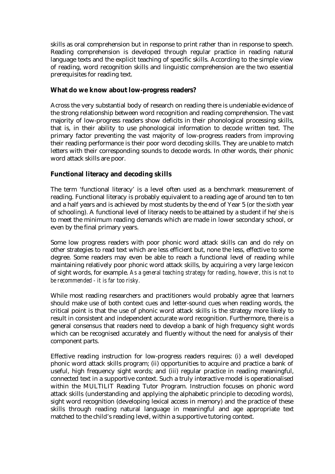skills as oral comprehension but in response to print rather than in response to speech. Reading comprehension is developed through regular practice in reading natural language texts and the explicit teaching of specific skills. According to the simple view of reading, word recognition skills and linguistic comprehension are the two essential prerequisites for reading text.

#### **What do we know about low-progress readers?**

Across the very substantial body of research on reading there is undeniable evidence of the strong relationship between word recognition and reading comprehension. The vast majority of low-progress readers show deficits in their phonological processing skills, that is, in their ability to use phonological information to decode written text. The primary factor preventing the vast majority of low-progress readers from improving their reading performance is their poor word decoding skills. They are unable to match letters with their corresponding sounds to decode words. In other words, their phonic word attack skills are poor.

#### **Functional literacy and decoding skills**

The term 'functional literacy' is a level often used as a benchmark measurement of reading. Functional literacy is probably equivalent to a reading age of around ten to ten and a half years and is achieved by most students by the end of Year 5 (or the sixth year of schooling). A functional level of literacy needs to be attained by a student if he/she is to meet the minimum reading demands which are made in lower secondary school, or even by the final primary years.

Some low progress readers with poor phonic word attack skills can and do rely on other strategies to read text which are less efficient but, none the less, effective to some degree. Some readers may even be able to reach a functional level of reading while maintaining relatively poor phonic word attack skills, by acquiring a very large lexicon of sight words, for example. *As a general teaching strategy for reading, however, this is not to be recommended - it is far too risky.*

While most reading researchers and practitioners would probably agree that learners should make use of both context cues and letter-sound cues when reading words, the critical point is that the use of phonic word attack skills is the strategy more likely to result in consistent and independent accurate word recognition. Furthermore, there is a general consensus that readers need to develop a bank of high frequency sight words which can be recognised accurately and fluently without the need for analysis of their component parts.

Effective reading instruction for low-progress readers requires: (i) a well developed phonic word attack skills program; (ii) opportunities to acquire and practice a bank of useful, high frequency sight words; and (iii) regular practice in reading meaningful, connected text in a supportive context. Such a truly interactive model is operationalised within the MULTILIT Reading Tutor Program. Instruction focuses on phonic word attack skills (understanding and applying the alphabetic principle to decoding words), sight word recognition (developing lexical access in memory) and the practice of these skills through reading natural language in meaningful and age appropriate text matched to the child's reading level, within a supportive tutoring context.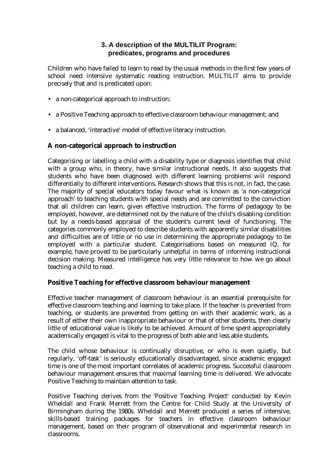### **3. A description of the MULTILIT Program: predicates, programs and procedures**

Children who have failed to learn to read by the usual methods in the first few years of school need intensive systematic reading instruction. MULTILIT aims to provide precisely that and is predicated upon:

- a non-categorical approach to instruction;
- a Positive Teaching approach to effective classroom behaviour management; and
- a balanced, 'interactive' model of effective literacy instruction.

#### **A non-categorical approach to instruction**

Categorising or labelling a child with a disability type or diagnosis identifies that child with a group who, in theory, have similar instructional needs. It also suggests that students who have been diagnosed with different learning problems will respond differentially to different interventions. Research shows that this is not, in fact, the case. The majority of special educators today favour what is known as 'a non-categorical approach' to teaching students with special needs and are committed to the conviction that all children can learn, given effective instruction. The forms of pedagogy to be employed, however, are determined not by the nature of the child's disabling condition but by a needs-based appraisal of the student's current level of functioning. The categories commonly employed to describe students with apparently similar disabilities and difficulties are of little or no use in determining the appropriate pedagogy to be employed with a particular student. Categorisations based on measured IQ, for example, have proved to be particularly unhelpful in terms of informing instructional decision making. Measured intelligence has very little relevance to how we go about teaching a child to read.

#### **Positive Teaching for effective classroom behaviour management**

Effective teacher management of classroom behaviour is an essential prerequisite for effective classroom teaching and learning to take place. If the teacher is prevented from teaching, or students are prevented from getting on with their academic work, as a result of either their own inappropriate behaviour or that of other students, then clearly little of educational value is likely to be achieved. Amount of time spent appropriately academically engaged is vital to the progress of both able and less able students.

The child whose behaviour is continually disruptive, or who is even quietly, but regularly, 'off-task' is seriously educationally disadvantaged, since academic engaged time is one of the most important correlates of academic progress. Successful classroom behaviour management ensures that maximal learning time is delivered. We advocate Positive Teaching to maintain attention to task.

Positive Teaching derives from the 'Positive Teaching Project' conducted by Kevin Wheldall and Frank Merrett from the Centre for Child Study at the University of Birmingham during the 1980s. Wheldall and Merrett produced a series of intensive, skills-based training packages for teachers in effective classroom behaviour management, based on their program of observational and experimental research in classrooms.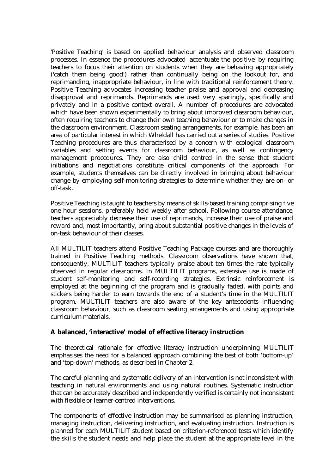'Positive Teaching' is based on applied behaviour analysis and observed classroom processes. In essence the procedures advocated 'accentuate the positive' by requiring teachers to focus their attention on students when they are behaving appropriately ('catch them being good') rather than continually being on the lookout for, and reprimanding, inappropriate behaviour, in line with traditional reinforcement theory. Positive Teaching advocates increasing teacher praise and approval and decreasing disapproval and reprimands. Reprimands are used very sparingly, specifically and privately and in a positive context overall. A number of procedures are advocated which have been shown experimentally to bring about improved classroom behaviour, often requiring teachers to change their own teaching behaviour or to make changes in the classroom environment. Classroom seating arrangements, for example, has been an area of particular interest in which Wheldall has carried out a series of studies. Positive Teaching procedures are thus characterised by a concern with ecological classroom variables and setting events for classroom behaviour, as well as contingency management procedures. They are also child centred in the sense that student initiations and negotiations constitute critical components of the approach. For example, students themselves can be directly involved in bringing about behaviour change by employing self-monitoring strategies to determine whether they are on- or off-task.

Positive Teaching is taught to teachers by means of skills-based training comprising five one hour sessions, preferably held weekly after school. Following course attendance, teachers appreciably decrease their use of reprimands, increase their use of praise and reward and, most importantly, bring about substantial positive changes in the levels of on-task behaviour of their classes.

All MULTILIT teachers attend Positive Teaching Package courses and are thoroughly trained in Positive Teaching methods. Classroom observations have shown that, consequently, MULTILIT teachers typically praise about ten times the rate typically observed in regular classrooms. In MULTILIT programs, extensive use is made of student self-monitoring and self-recording strategies. Extrinsic reinforcement is employed at the beginning of the program and is gradually faded, with points and stickers being harder to earn towards the end of a student's time in the MULTILIT program. MULTILIT teachers are also aware of the key antecedents influencing classroom behaviour, such as classroom seating arrangements and using appropriate curriculum materials.

#### **A balanced, 'interactive' model of effective literacy instruction**

The theoretical rationale for effective literacy instruction underpinning MULTILIT emphasises the need for a balanced approach combining the best of both 'bottom-up' and 'top-down' methods, as described in Chapter 2.

The careful planning and systematic delivery of an intervention is not inconsistent with teaching in natural environments and using natural routines. Systematic instruction that can be accurately described and independently verified is certainly not inconsistent with flexible or learner-centred interventions.

The components of effective instruction may be summarised as planning instruction, managing instruction, delivering instruction, and evaluating instruction. Instruction is planned for each MULTILIT student based on criterion-referenced tests which identify the skills the student needs and help place the student at the appropriate level in the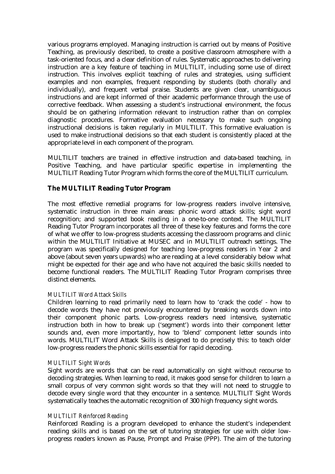various programs employed. Managing instruction is carried out by means of Positive Teaching, as previously described, to create a positive classroom atmosphere with a task-oriented focus, and a clear definition of rules. Systematic approaches to delivering instruction are a key feature of teaching in MULTILIT, including some use of direct instruction. This involves explicit teaching of rules and strategies, using sufficient examples and non examples, frequent responding by students (both chorally and individually), and frequent verbal praise. Students are given clear, unambiguous instructions and are kept informed of their academic performance through the use of corrective feedback. When assessing a student's instructional environment, the focus should be on gathering information relevant to instruction rather than on complex diagnostic procedures. Formative evaluation necessary to make such ongoing instructional decisions is taken regularly in MULTILIT. This formative evaluation is used to make instructional decisions so that each student is consistently placed at the appropriate level in each component of the program.

MULTILIT teachers are trained in effective instruction and data-based teaching, in Positive Teaching, and have particular specific expertise in implementing the MULTILIT Reading Tutor Program which forms the core of the MULTILIT curriculum.

#### **The MULTILIT Reading Tutor Program**

The most effective remedial programs for low-progress readers involve intensive, systematic instruction in three main areas: phonic word attack skills; sight word recognition; and supported book reading in a one-to-one context. The MULTILIT Reading Tutor Program incorporates all three of these key features and forms the core of what we offer to low-progress students accessing the classroom programs and clinic within the MULTILIT Initiative at MUSEC and in MULTILIT outreach settings. The program was specifically designed for teaching low-progress readers in Year 2 and above (about seven years upwards) who are reading at a level considerably below what might be expected for their age and who have not acquired the basic skills needed to become functional readers. The MULTILIT Reading Tutor Program comprises three distinct elements.

#### *MULTILIT Word Attack Skills*

Children learning to read primarily need to learn how to 'crack the code' - how to decode words they have not previously encountered by breaking words down into their component phonic parts. Low-progress readers need intensive, systematic instruction both in how to break up ('segment') words into their component letter sounds and, even more importantly, how to 'blend' component letter sounds into words. MULTILIT Word Attack Skills is designed to do precisely this: to teach older low-progress readers the phonic skills essential for rapid decoding.

#### *MULTILIT Sight Words*

Sight words are words that can be read automatically on sight without recourse to decoding strategies. When learning to read, it makes good sense for children to learn a small corpus of very common sight words so that they will not need to struggle to decode every single word that they encounter in a sentence. MULTILIT Sight Words systematically teaches the automatic recognition of 300 high frequency sight words.

#### *MULTILIT Reinforced Reading*

Reinforced Reading is a program developed to enhance the student's independent reading skills and is based on the set of tutoring strategies for use with older lowprogress readers known as Pause, Prompt and Praise (PPP). The aim of the tutoring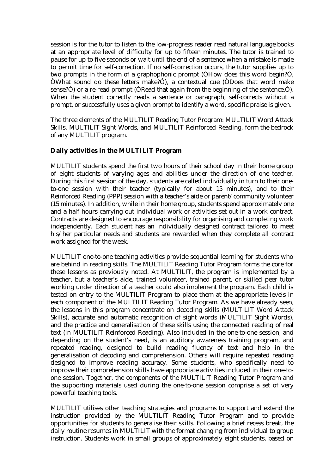session is for the tutor to listen to the low-progress reader read natural language books at an appropriate level of difficulty for up to fifteen minutes. The tutor is trained to pause for up to five seconds or wait until the end of a sentence when a mistake is made to permit time for self-correction. If no self-correction occurs, the tutor supplies up to two prompts in the form of a graphophonic prompt (ÒHow does this word begin?Ó, ÒWhat sound do these letters make?Ó), a contextual cue (ÒDoes that word make sense?Ó) or a re-read prompt (ÒRead that again from the beginning of the sentence.Ó). When the student correctly reads a sentence or paragraph, self-corrects without a prompt, or successfully uses a given prompt to identify a word, specific praise is given.

The three elements of the MULTILIT Reading Tutor Program: MULTILIT Word Attack Skills, MULTILIT Sight Words, and MULTILIT Reinforced Reading, form the bedrock of any MULTILIT program.

#### **Daily activities in the MULTILIT Program**

MULTILIT students spend the first two hours of their school day in their home group of eight students of varying ages and abilities under the direction of one teacher. During this first session of the day, students are called individually in turn to their oneto-one session with their teacher (typically for about 15 minutes), and to their Reinforced Reading (PPP) session with a teacher's aide or parent/community volunteer (15 minutes). In addition, while in their home group, students spend approximately one and a half hours carrying out individual work or activities set out in a work contract. Contracts are designed to encourage responsibility for organising and completing work independently. Each student has an individually designed contract tailored to meet his/her particular needs and students are rewarded when they complete all contract work assigned for the week.

MULTILIT one-to-one teaching activities provide sequential learning for students who are behind in reading skills. The MULTILIT Reading Tutor Program forms the core for these lessons as previously noted. At MULTILIT, the program is implemented by a teacher, but a teacher's aide, trained volunteer, trained parent, or skilled peer tutor working under direction of a teacher could also implement the program. Each child is tested on entry to the MULTILIT Program to place them at the appropriate levels in each component of the MULTILIT Reading Tutor Program. As we have already seen, the lessons in this program concentrate on decoding skills (MULTILIT Word Attack Skills), accurate and automatic recognition of sight words (MULTILIT Sight Words), and the practice and generalisation of these skills using the connected reading of real text (in MULTILIT Reinforced Reading). Also included in the one-to-one session, and depending on the student's need, is an auditory awareness training program, and repeated reading, designed to build reading fluency of text and help in the generalisation of decoding and comprehension. Others will require repeated reading designed to improve reading accuracy. Some students, who specifically need to improve their comprehension skills have appropriate activities included in their one-toone session. Together, the components of the MULTILIT Reading Tutor Program and the supporting materials used during the one-to-one session comprise a set of very powerful teaching tools.

MULTILIT utilises other teaching strategies and programs to support and extend the instruction provided by the MULTILIT Reading Tutor Program and to provide opportunities for students to generalise their skills. Following a brief recess break, the daily routine resumes in MULTILIT with the format changing from individual to group instruction. Students work in small groups of approximately eight students, based on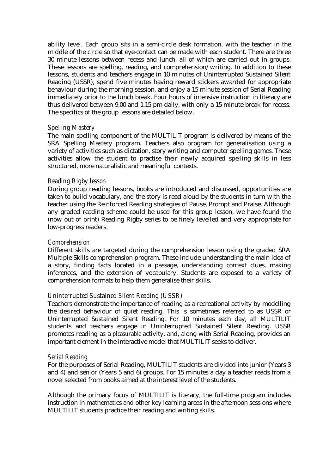ability level. Each group sits in a semi-circle desk formation, with the teacher in the middle of the circle so that eye-contact can be made with each student. There are three 30 minute lessons between recess and lunch, all of which are carried out in groups. These lessons are spelling, reading, and comprehension/writing. In addition to these lessons, students and teachers engage in 10 minutes of Uninterrupted Sustained Silent Reading (USSR), spend five minutes having reward stickers awarded for appropriate behaviour during the morning session, and enjoy a 15 minute session of Serial Reading immediately prior to the lunch break. Four hours of intensive instruction in literacy are thus delivered between 9.00 and 1.15 pm daily, with only a 15 minute break for recess. The specifics of the group lessons are detailed below.

#### *Spelling Mastery*

The main spelling component of the MULTILIT program is delivered by means of the SRA Spelling Mastery program. Teachers also program for generalisation using a variety of activities such as dictation, story writing and computer spelling games. These activities allow the student to practise their newly acquired spelling skills in less structured, more naturalistic and meaningful contexts.

#### *Reading Rigby lesson*

During group reading lessons, books are introduced and discussed, opportunities are taken to build vocabulary, and the story is read aloud by the students in turn with the teacher using the Reinforced Reading strategies of Pause, Prompt and Praise. Although any graded reading scheme could be used for this group lesson, we have found the (now out of print) Reading Rigby series to be finely levelled and very appropriate for low-progress readers.

#### *Comprehension*

Different skills are targeted during the comprehension lesson using the graded SRA Multiple Skills comprehension program. These include understanding the main idea of a story, finding facts located in a passage, understanding context clues, making inferences, and the extension of vocabulary. Students are exposed to a variety of comprehension formats to help them generalise their skills.

#### *Uninterrupted Sustained Silent Reading (USSR)*

Teachers demonstrate the importance of reading as a recreational activity by modelling the desired behaviour of quiet reading. This is sometimes referred to as USSR or Uninterrupted Sustained Silent Reading. For 10 minutes each day, all MULTILIT students and teachers engage in Uninterrupted Sustained Silent Reading. USSR promotes reading as a *pleasurable* activity, and, along with Serial Reading, provides an important element in the interactive model that MULTILIT seeks to deliver.

#### *Serial Reading*

For the purposes of Serial Reading, MULTILIT students are divided into junior (Years 3 and 4) and senior (Years 5 and 6) groups. For 15 minutes a day a teacher reads from a novel selected from books aimed at the interest level of the students.

Although the primary focus of MULTILIT is literacy, the full-time program includes instruction in mathematics and other key learning areas in the afternoon sessions where MULTILIT students practice their reading and writing skills.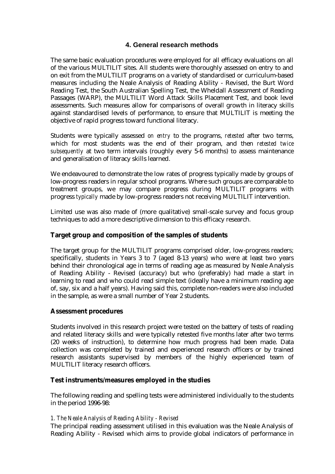#### **4. General research methods**

The same basic evaluation procedures were employed for all efficacy evaluations on all of the various MULTILIT sites. All students were thoroughly assessed on entry to and on exit from the MULTILIT programs on a variety of standardised or curriculum-based measures including the Neale Analysis of Reading Ability - Revised, the Burt Word Reading Test, the South Australian Spelling Test, the Wheldall Assessment of Reading Passages (WARP), the MULTILIT Word Attack Skills Placement Test, and book level assessments. Such measures allow for comparisons of overall growth in literacy skills against standardised levels of performance, to ensure that MULTILIT is meeting the objective of rapid progress toward functional literacy.

Students were typically assessed *on entry* to the programs, *retested* after two terms, which for most students was the end of their program, and then *retested twice subsequently* at two term intervals (roughly every 5-6 months) to assess maintenance and generalisation of literacy skills learned.

We endeavoured to demonstrate the low rates of progress typically made by groups of low-progress readers in regular school programs. Where such groups are comparable to treatment groups, we may compare progress during MULTILIT programs with progress *typically* made by low-progress readers not receiving MULTILIT intervention.

Limited use was also made of (more qualitative) small-scale survey and focus group techniques to add a more descriptive dimension to this efficacy research.

#### **Target group and composition of the samples of students**

The target group for the MULTILIT programs comprised older, low-progress readers; specifically, students in Years 3 to 7 (aged 8-13 years) who were at least two years behind their chronological age in terms of reading age as measured by Neale Analysis of Reading Ability - Revised (accuracy) but who (preferably) had made a start in learning to read and who could read simple text (ideally have a minimum reading age of, say, six and a half years). Having said this, complete non-readers were also included in the sample, as were a small number of Year 2 students.

#### **Assessment procedures**

Students involved in this research project were tested on the battery of tests of reading and related literacy skills and were typically retested five months later after two terms (20 weeks of instruction), to determine how much progress had been made. Data collection was completed by trained and experienced research officers or by trained research assistants supervised by members of the highly experienced team of MULTILIT literacy research officers.

#### **Test instruments/measures employed in the studies**

The following reading and spelling tests were administered individually to the students in the period 1996-98:

#### *1. The Neale Analysis of Reading Ability - Revised*

The principal reading assessment utilised in this evaluation was the Neale Analysis of Reading Ability - Revised which aims to provide global indicators of performance in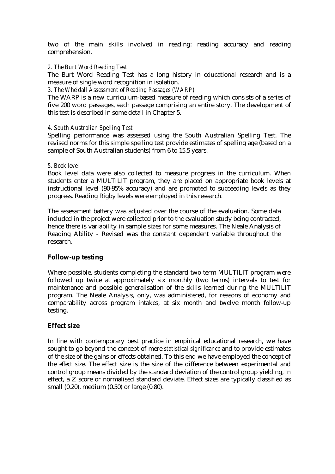two of the main skills involved in reading: reading accuracy and reading comprehension.

#### *2. The Burt Word Reading Test*

The Burt Word Reading Test has a long history in educational research and is a measure of single word recognition in isolation.

*3. The Wheldall Assessment of Reading Passages (WARP)* 

The WARP is a new curriculum-based measure of reading which consists of a series of five 200 word passages, each passage comprising an entire story. The development of this test is described in some detail in Chapter 5.

#### *4. South Australian Spelling Test*

Spelling performance was assessed using the South Australian Spelling Test. The revised norms for this simple spelling test provide estimates of spelling age (based on a sample of South Australian students) from 6 to 15.5 years.

#### *5. Book level*

Book level data were also collected to measure progress in the curriculum. When students enter a MULTILIT program, they are placed on appropriate book levels at instructional level (90-95% accuracy) and are promoted to succeeding levels as they progress. Reading Rigby levels were employed in this research.

The assessment battery was adjusted over the course of the evaluation. Some data included in the project were collected prior to the evaluation study being contracted, hence there is variability in sample sizes for some measures. The Neale Analysis of Reading Ability - Revised was the constant dependent variable throughout the research.

#### **Follow-up testing**

Where possible, students completing the standard two term MULTILIT program were followed up twice at approximately six monthly (two terms) intervals to test for maintenance and possible generalisation of the skills learned during the MULTILIT program. The Neale Analysis, only, was administered, for reasons of economy and comparability across program intakes, at six month and twelve month follow-up testing.

#### **Effect size**

In line with contemporary best practice in empirical educational research, we have sought to go beyond the concept of mere *statistical significance* and to provide estimates of the *size* of the gains or effects obtained. To this end we have employed the concept of the *effect size*. The effect size is the size of the difference between experimental and control group means divided by the standard deviation of the control group yielding, in effect, a Z score or normalised standard deviate. Effect sizes are typically classified as small (0.20), medium (0.50) or large (0.80).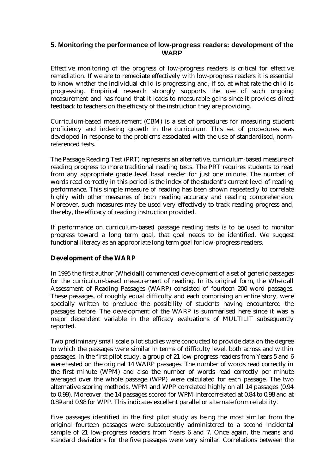#### **5. Monitoring the performance of low-progress readers: development of the WARP**

Effective monitoring of the progress of low-progress readers is critical for effective remediation. If we are to remediate effectively with low-progress readers it is essential to know *whether* the individual child is progressing and, if so, at what *rate* the child is progressing. Empirical research strongly supports the use of such ongoing measurement and has found that it leads to measurable gains since it provides direct feedback to teachers on the efficacy of the instruction they are providing.

Curriculum-based measurement (CBM) is a set of procedures for measuring student proficiency and indexing growth in the curriculum. This set of procedures was developed in response to the problems associated with the use of standardised, normreferenced tests.

The Passage Reading Test (PRT) represents an alternative, curriculum-based measure of reading progress to more traditional reading tests. The PRT requires students to read from any appropriate grade level basal reader for just one minute. The number of words read correctly in this period is the index of the student's current level of reading performance. This simple measure of reading has been shown repeatedly to correlate highly with other measures of both reading accuracy and reading comprehension. Moreover, such measures may be used very effectively to track reading progress and, thereby, the efficacy of reading instruction provided.

If performance on curriculum-based passage reading tests is to be used to monitor progress toward a long term goal, that goal needs to be identified. We suggest functional literacy as an appropriate long term goal for low-progress readers.

#### **Development of the WARP**

In 1995 the first author (Wheldall) commenced development of a set of generic passages for the curriculum-based measurement of reading. In its original form, the Wheldall Assessment of Reading Passages (WARP) consisted of fourteen 200 word passages. These passages, of roughly equal difficulty and each comprising an entire story, were specially written to preclude the possibility of students having encountered the passages before. The development of the WARP is summarised here since it was a major dependent variable in the efficacy evaluations of MULTILIT subsequently reported.

Two preliminary small scale pilot studies were conducted to provide data on the degree to which the passages were similar in terms of difficulty level, both across and within passages. In the first pilot study, a group of 21 low-progress readers from Years 5 and 6 were tested on the original 14 WARP passages. The number of words read correctly in the first minute (WPM) and also the number of words read correctly per minute averaged over the whole passage (WPP) were calculated for each passage. The two alternative scoring methods, WPM and WPP correlated highly on all 14 passages (0.94 to 0.99). Moreover, the 14 passages scored for WPM intercorrelated at 0.84 to 0.98 and at 0.89 and 0.98 for WPP. This indicates excellent parallel or alternate form reliability.

Five passages identified in the first pilot study as being the most similar from the original fourteen passages were subsequently administered to a second incidental sample of 21 low-progress readers from Years 6 and 7. Once again, the means and standard deviations for the five passages were very similar. Correlations between the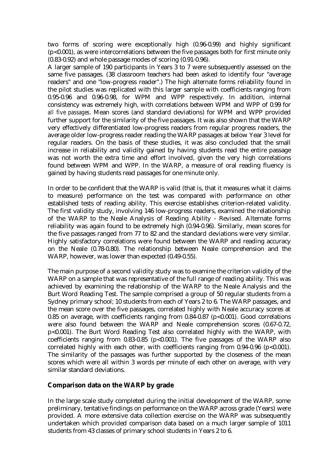two forms of scoring were exceptionally high (0.96-0.99) and highly significant (p<0.001), as were intercorrelations between the five passages both for first minute only (0.83-0.92) and whole passage modes of scoring (0.91-0.96).

A larger sample of 190 participants in Years 3 to 7 were subsequently assessed on the same five passages. (38 classroom teachers had been asked to identify four "average readers" and one "low-progress reader".) The high alternate forms reliability found in the pilot studies was replicated with this larger sample with coefficients ranging from 0.95-0.96 and 0.96-0.98, for WPM and WPP respectively. In addition, internal consistency was extremely high, with correlations between WPM and WPP of 0.99 for *all five passages*. Mean scores (and standard deviations) for WPM and WPP provided further support for the similarity of the five passages. It was also shown that the WARP very effectively differentiated low-progress readers from regular progress readers, the average older low-progress reader reading the WARP passages at below Year 3 level for regular readers. On the basis of these studies, it was also concluded that the small increase in reliability and validity gained by having students read the entire passage was not worth the extra time and effort involved, given the very high correlations found between WPM and WPP. In the WARP, a measure of oral reading fluency is gained by having students read passages for one minute only.

In order to be confident that the WARP is valid (that is, that it measures what it claims to measure) performance on the test was compared with performance on other established tests of reading ability. This exercise establishes criterion-related validity. The first validity study, involving 146 low-progress readers, examined the relationship of the WARP to the Neale Analysis of Reading Ability - Revised. Alternate forms reliability was again found to be extremely high (0.94-0.96). Similarly, mean scores for the five passages ranged from 77 to 82 and the standard deviations were very similar. Highly satisfactory correlations were found between the WARP and reading accuracy on the Neale (0.78-0.80). The relationship between Neale comprehension and the WARP, however, was lower than expected (0.49-0.55).

The main purpose of a second validity study was to examine the criterion validity of the WARP on a sample that was representative of the full range of reading ability. This was achieved by examining the relationship of the WARP to the Neale Analysis and the Burt Word Reading Test. The sample comprised a group of 50 regular students from a Sydney primary school; 10 students from each of Years 2 to 6. The WARP passages, and the mean score over the five passages, correlated highly with Neale accuracy scores at 0.85 on average, with coefficients ranging from  $0.84-0.87$  (p<0.001). Good correlations were also found between the WARP and Neale comprehension scores (0.67-0.72, p<0.001). The Burt Word Reading Test also correlated highly with the WARP, with coefficients ranging from  $0.83-0.85$  (p<0.001). The five passages of the WARP also correlated highly with each other, with coefficients ranging from  $0.94-0.96$  (p<0.001). The similarity of the passages was further supported by the closeness of the mean scores which were all within 3 words per minute of each other on average, with very similar standard deviations.

#### **Comparison data on the WARP by grade**

In the large scale study completed during the initial development of the WARP, some preliminary, tentative findings on performance on the WARP across grade (Years) were provided. A more extensive data collection exercise on the WARP was subsequently undertaken which provided comparison data based on a much larger sample of 1011 students from 43 classes of primary school students in Years 2 to 6.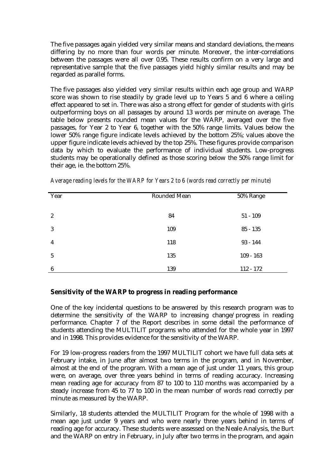The five passages again yielded very similar means and standard deviations, the means differing by no more than four words per minute. Moreover, the inter-correlations between the passages were all over 0.95. These results confirm on a very large and representative sample that the five passages yield highly similar results and may be regarded as parallel forms.

The five passages also yielded very similar results within each age group and WARP score was shown to rise steadily by grade level up to Years 5 and 6 where a ceiling effect appeared to set in. There was also a strong effect for gender of students with girls outperforming boys on all passages by around 13 words per minute on average. The table below presents rounded mean values for the WARP, averaged over the five passages, for Year 2 to Year 6, together with the 50% range limits. Values below the lower 50% range figure indicate levels achieved by the bottom 25%; values above the upper figure indicate levels achieved by the top 25%. These figures provide comparison data by which to evaluate the performance of individual students. Low-progress students may be operationally defined as those scoring below the 50% range limit for their age, ie. the bottom 25%.

| Year             | Rounded Mean | 50% Range   |
|------------------|--------------|-------------|
|                  |              |             |
| $\boldsymbol{2}$ | 84           | $51 - 109$  |
| 3                | 109          | $85 - 135$  |
| $\overline{4}$   | 118          | $93 - 144$  |
| $\overline{5}$   | 135          | $109 - 163$ |
| $\boldsymbol{6}$ | 139          | $112 - 172$ |

*Average reading levels for the WARP for Years 2 to 6 (words read correctly per minute)*

#### **Sensitivity of the WARP to progress in reading performance**

One of the key incidental questions to be answered by this research program was to determine the sensitivity of the WARP to increasing change/progress in reading performance. Chapter 7 of the Report describes in some detail the performance of students attending the MULTILIT programs who attended for the whole year in 1997 and in 1998. This provides evidence for the sensitivity of the WARP.

For 19 low-progress readers from the 1997 MULTILIT cohort we have full data sets at February intake, in June after almost two terms in the program, and in November, almost at the end of the program. With a mean age of just under 11 years, this group were, on average, over three years behind in terms of reading accuracy. Increasing mean reading age for accuracy from 87 to 100 to 110 months was accompanied by a steady increase from 45 to 77 to 100 in the mean number of words read correctly per minute as measured by the WARP.

Similarly, 18 students attended the MULTILIT Program for the whole of 1998 with a mean age just under 9 years and who were nearly three years behind in terms of reading age for accuracy. These students were assessed on the Neale Analysis, the Burt and the WARP on entry in February, in July after two terms in the program, and again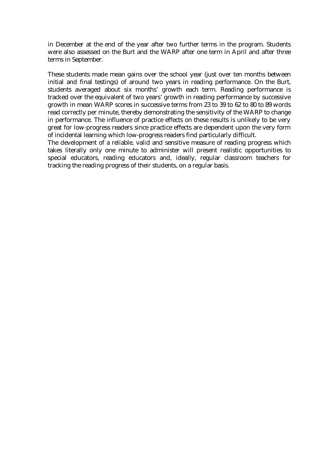in December at the end of the year after two further terms in the program. Students were also assessed on the Burt and the WARP after one term in April and after three terms in September.

These students made mean gains over the school year (just over ten months between initial and final testings) of around two years in reading performance. On the Burt, students averaged about six months' growth each term. Reading performance is tracked over the equivalent of two years' growth in reading performance by successive growth in mean WARP scores in successive terms from 23 to 39 to 62 to 80 to 89 words read correctly per minute, thereby demonstrating the sensitivity of the WARP to change in performance. The influence of practice effects on these results is unlikely to be very great for low-progress readers since practice effects are dependent upon the very form of incidental learning which low-progress readers find particularly difficult.

The development of a reliable, valid and sensitive measure of reading progress which takes literally only one minute to administer will present realistic opportunities to special educators, reading educators and, ideally, regular classroom teachers for tracking the reading progress of their students, on a regular basis.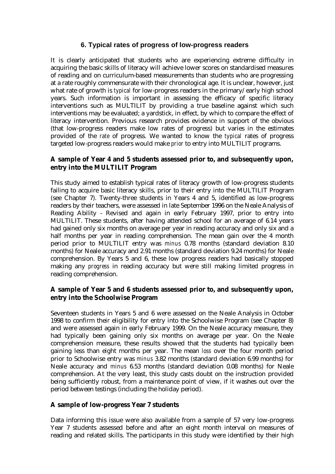#### **6. Typical rates of progress of low-progress readers**

It is clearly anticipated that students who are experiencing extreme difficulty in acquiring the basic skills of literacy will achieve lower scores on standardised measures of reading and on curriculum-based measurements than students who are progressing at a rate roughly commensurate with their chronological age. It is unclear, however, just what rate of growth is *typical* for low-progress readers in the primary/early high school years. Such information is important in assessing the efficacy of specific literacy interventions such as MULTILIT by providing a true baseline against which such interventions may be evaluated; a yardstick, in effect, by which to compare the effect of literacy intervention. Previous research provides evidence in support of the obvious (that low-progress readers make low rates of progress) but varies in the estimates provided of the *rate* of progress. We wanted to know the *typical* rates of progress targeted low-progress readers would make *prior* to entry into MULTILIT programs.

#### **A sample of Year 4 and 5 students assessed prior to, and subsequently upon, entry into the MULTILIT Program**

This study aimed to establish typical rates of literacy growth of low-progress students failing to acquire basic literacy skills, prior to their entry into the MULTILIT Program (see Chapter 7). Twenty-three students in Years 4 and 5, identified as low-progress readers by their teachers, were assessed in late September 1996 on the Neale Analysis of Reading Ability - Revised and again in early February 1997, prior to entry into MULTILIT. These students, after having attended school for an average of 6.14 years had gained only six months on average per year in reading accuracy and only six and a half months per year in reading comprehension. The mean gain over the 4 month period prior to MULTILIT entry was *minus* 0.78 months (standard deviation 8.10 months) for Neale accuracy and 2.91 months (standard deviation 9.24 months) for Neale comprehension. By Years 5 and 6, these low progress readers had basically stopped making any *progress* in reading accuracy but were still making limited progress in reading comprehension.

#### **A sample of Year 5 and 6 students assessed prior to, and subsequently upon, entry into the Schoolwise Program**

Seventeen students in Years 5 and 6 were assessed on the Neale Analysis in October 1998 to confirm their eligibility for entry into the Schoolwise Program (see Chapter 8) and were assessed again in early February 1999. On the Neale accuracy measure, they had typically been gaining only six months on average per year. On the Neale comprehension measure, these results showed that the students had typically been gaining less than eight months per year. The mean *loss* over the four month period prior to Schoolwise entry was *minus* 3.82 months (standard deviation 6.99 months) for Neale accuracy and *minus* 6.53 months (standard deviation 0.08 months) for Neale comprehension. At the very least, this study casts doubt on the instruction provided being sufficiently robust, from a maintenance point of view, if it washes out over the period between testings (including the holiday period).

#### **A sample of low-progress Year 7 students**

Data informing this issue were also available from a sample of 57 very low-progress Year 7 students assessed before and after an eight month interval on measures of reading and related skills. The participants in this study were identified by their high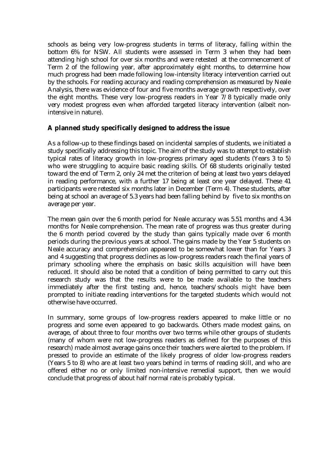schools as being very low-progress students in terms of literacy, falling within the bottom 6% for NSW. All students were assessed in Term 3 when they had been attending high school for over six months and were retested at the commencement of Term 2 of the following year, after approximately eight months, to determine how much progress had been made following low-intensity literacy intervention carried out by the schools. For reading accuracy and reading comprehension as measured by Neale Analysis, there was evidence of four and five months average growth respectively, over the eight months. These very low-progress readers in Year 7/8 typically made only very modest progress even when afforded targeted literacy intervention (albeit nonintensive in nature).

#### **A planned study specifically designed to address the issue**

As a follow-up to these findings based on incidental samples of students, we initiated a study specifically addressing this topic. The aim of the study was to attempt to establish typical rates of literacy growth in low-progress primary aged students (Years 3 to 5) who were struggling to acquire basic reading skills. Of 68 students originally tested toward the end of Term 2, only 24 met the criterion of being at least two years delayed in reading performance, with a further 17 being at least one year delayed. These 41 participants were retested six months later in December (Term 4). These students, after being at school an average of 5.3 years had been falling behind by five to six months on average per year.

The mean gain over the 6 month period for Neale accuracy was 5.51 months and 4.34 months for Neale comprehension. The mean rate of progress was thus greater during the 6 month period covered by the study than gains typically made over 6 month periods during the previous years at school. The gains made by the Year 5 students on Neale accuracy and comprehension appeared to be somewhat lower than for Years 3 and 4 suggesting that progress declines as low-progress readers reach the final years of primary schooling where the emphasis on basic skills acquisition will have been reduced. It should also be noted that a condition of being permitted to carry out this research study was that the results were to be made available to the teachers immediately after the first testing and, hence, teachers/schools *might* have been prompted to initiate reading interventions for the targeted students which would not otherwise have occurred.

In summary, some groups of low-progress readers appeared to make little or no progress and some even appeared to go backwards. Others made modest gains, on average, of about three to four months over two terms while other groups of students (many of whom were not low-progress readers as defined for the purposes of this research) made almost average gains once their teachers were alerted to the problem. If pressed to provide an estimate of the likely progress of older low-progress readers (Years 5 to 8) who are at least two years behind in terms of reading skill, and who are offered either no or only limited non-intensive remedial support, then we would conclude that progress of about half normal rate is probably typical.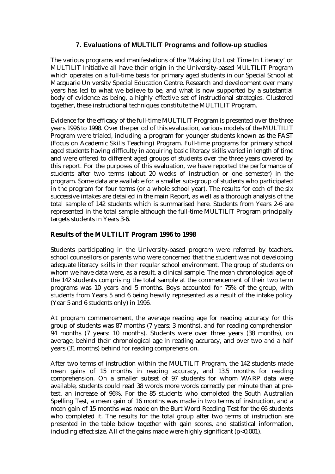#### **7. Evaluations of MULTILIT Programs and follow-up studies**

The various programs and manifestations of the 'Making Up Lost Time In Literacy' or MULTILIT Initiative all have their origin in the University-based MULTILIT Program which operates on a full-time basis for primary aged students in our Special School at Macquarie University Special Education Centre. Research and development over many years has led to what we believe to be, and what is now supported by a substantial body of evidence as being, a highly effective set of instructional strategies. Clustered together, these instructional techniques constitute the MULTILIT Program.

Evidence for the efficacy of the full-time MULTILIT Program is presented over the three years 1996 to 1998. Over the period of this evaluation, various models of the MULTILIT Program were trialed, including a program for younger students known as the FAST (Focus on Academic Skills Teaching) Program. Full-time programs for primary school aged students having difficulty in acquiring basic literacy skills varied in length of time and were offered to different aged groups of students over the three years covered by this report. For the purposes of this evaluation, we have reported the performance of students after two terms (about 20 weeks of instruction or one semester) in the program. Some data are available for a smaller sub-group of students who participated in the program for four terms (or a whole school year). The results for each of the six successive intakes are detailed in the main Report, as well as a thorough analysis of the total sample of 142 students which is summarised here. Students from Years 2-6 are represented in the total sample although the full-time MULTILIT Program principally targets students in Years 3-6.

#### **Results of the MULTILIT Program 1996 to 1998**

Students participating in the University-based program were referred by teachers, school counsellors or parents who were concerned that the student was not developing adequate literacy skills in their regular school environment. The group of students on whom we have data were, as a result, a clinical sample. The mean chronological age of the 142 students comprising the total sample at the commencement of their two term programs was 10 years and 5 months. Boys accounted for 75% of the group, with students from Years 5 and 6 being heavily represented as a result of the intake policy (Year 5 and 6 students only) in 1996.

At program commencement, the average reading age for reading accuracy for this group of students was 87 months (7 years: 3 months), and for reading comprehension 94 months (7 years: 10 months). Students were over three years (38 months), on average, behind their chronological age in reading accuracy, and over two and a half years (31 months) behind for reading comprehension.

After two terms of instruction within the MULTILIT Program, the 142 students made mean gains of 15 months in reading accuracy, and 13.5 months for reading comprehension. On a smaller subset of 97 students for whom WARP data were available, students could read 38 words more words correctly per minute than at pretest, an increase of 96%. For the 85 students who completed the South Australian Spelling Test, a mean gain of 16 months was made in two terms of instruction, and a mean gain of 15 months was made on the Burt Word Reading Test for the 66 students who completed it. The results for the total group after two terms of instruction are presented in the table below together with gain scores, and statistical information, including effect size. All of the gains made were highly significant (p<0.001).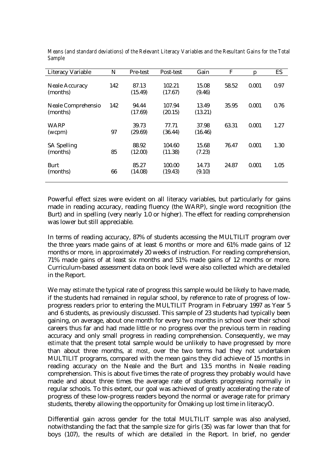| <b>Literacy Variable</b>          | N   | Pre-test         | Post-test         | Gain             | F     | Ŋ     | ES   |
|-----------------------------------|-----|------------------|-------------------|------------------|-------|-------|------|
| <b>Neale Accuracy</b><br>(months) | 142 | 87.13<br>(15.49) | 102.21<br>(17.67) | 15.08<br>(9.46)  | 58.52 | 0.001 | 0.97 |
| Neale Comprehensio<br>(months)    | 142 | 94.44<br>(17.69) | 107.94<br>(20.15) | 13.49<br>(13.21) | 35.95 | 0.001 | 0.76 |
| <b>WARP</b><br>(wcpm)             | 97  | 39.73<br>(29.69) | 77.71<br>(36.44)  | 37.98<br>(16.46) | 63.31 | 0.001 | 1.27 |
| <b>SA Spelling</b><br>(months)    | 85  | 88.92<br>(12.00) | 104.60<br>(11.38) | 15.68<br>(7.23)  | 76.47 | 0.001 | 1.30 |
| Burt<br>(months)                  | 66  | 85.27<br>(14.08) | 100.00<br>(19.43) | 14.73<br>(9.10)  | 24.87 | 0.001 | 1.05 |

*Means (and standard deviations) of the Relevant Literacy Variables and the Resultant Gains for the Total Sample*

Powerful effect sizes were evident on all literacy variables, but particularly for gains made in reading accuracy, reading fluency (the WARP), single word recognition (the Burt) and in spelling (very nearly 1.0 or higher). The effect for reading comprehension was lower but still appreciable.

In terms of reading accuracy, 87% of students accessing the MULTILIT program over the three years made gains of at least 6 months or more and 61% made gains of 12 months or more, in approximately 20 weeks of instruction. For reading comprehension, 71% made gains of at least six months and 51% made gains of 12 months or more. Curriculum-based assessment data on book level were also collected which are detailed in the Report.

We may *estimate* the typical rate of progress this sample would be likely to have made, if the students had remained in regular school, by reference to rate of progress of lowprogress readers prior to entering the MULTILIT Program in February 1997 as Year 5 and 6 students, as previously discussed. This sample of 23 students had typically been gaining, on average, about one month for every two months in school over their school careers thus far and had made little or no progress over the previous term in reading accuracy and only small progress in reading comprehension. Consequently, we may *estimate* that the present total sample would be unlikely to have progressed by more than about three months, *at most*, over the two terms had they not undertaken MULTILIT programs, compared with the mean gains they did achieve of 15 months in reading accuracy on the Neale and the Burt and 13.5 months in Neale reading comprehension. This is about five times the rate of progress they probably would have made and about three times the average rate of students progressing normally in regular schools. To this extent, our goal was achieved of greatly accelerating the rate of progress of these low-progress readers beyond the normal or average rate for primary students, thereby allowing the opportunity for Òmaking up lost time in literacyÓ.

Differential gain across gender for the total MULTILIT sample was also analysed, notwithstanding the fact that the sample size for girls (35) was far lower than that for boys (107), the results of which are detailed in the Report. In brief, no gender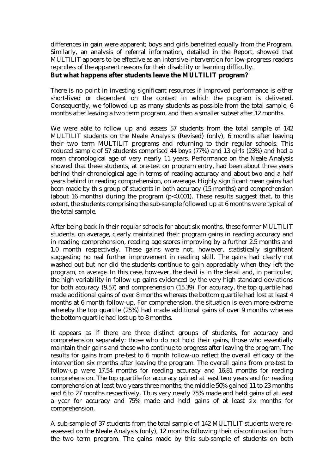differences in gain were apparent; boys and girls benefited equally from the Program. Similarly, an analysis of referral information, detailed in the Report, showed that MULTILIT appears to be effective as an intensive intervention for low-progress readers *regardless* of the apparent reasons for their disability or learning difficulty.

#### **But what happens after students leave the MULTILIT program?**

There is no point in investing significant resources if improved performance is either short-lived or dependent on the context in which the program is delivered. Consequently, we followed up as many students as possible from the total sample, 6 months after leaving a two term program, and then a smaller subset after 12 months.

We were able to follow up and assess 57 students from the total sample of 142 MULTILIT students on the Neale Analysis (Revised) (only), 6 months after leaving their two term MULTILIT programs and returning to their regular schools. This reduced sample of 57 students comprised 44 boys (77%) and 13 girls (23%) and had a mean chronological age of very nearly 11 years. Performance on the Neale Analysis showed that these students, at pre-test on program entry, had been about three years behind their chronological age in terms of reading accuracy and about two and a half years behind in reading comprehension, on average. Highly significant mean gains had been made by this group of students in both accuracy (15 months) and comprehension (about 16 months) during the program  $(p<0.001)$ . These results suggest that, to this extent, the students comprising the sub-sample followed up at 6 months were typical of the total sample.

After being back in their regular schools for about six months, these former MULTILIT students, on average, clearly maintained their program gains in reading accuracy and in reading comprehension, reading age scores improving by a further 2.5 months and 1.0 month respectively. These gains were not, however, statistically significant suggesting no real further improvement in reading skill. The gains had clearly not washed out but nor did the students continue to gain appreciably when they left the program, *on average*. In this case, however, the devil is in the detail and, in particular, the high variability in follow up gains evidenced by the very high standard deviations for both accuracy (9.57) and comprehension (15.39). For accuracy, the top quartile had made additional gains of over 8 months whereas the bottom quartile had lost at least 4 months at 6 month follow-up. For comprehension, the situation is even more extreme whereby the top quartile (25%) had made additional gains of over 9 months whereas the bottom quartile had lost up to 8 months.

It appears as if there are three distinct groups of students, for accuracy and comprehension separately: those who do not hold their gains, those who essentially maintain their gains and those who continue to progress after leaving the program. The results for gains from pre-test to 6 month follow-up reflect the overall efficacy of the intervention six months after leaving the program. The overall gains from pre-test to follow-up were 17.54 months for reading accuracy and 16.81 months for reading comprehension. The top quartile for accuracy gained at least two years and for reading comprehension at least two years three months; the middle 50% gained 11 to 23 months and 6 to 27 months respectively. Thus very nearly 75% made and held gains of at least a year for accuracy and 75% made and held gains of at least six months for comprehension.

A sub-sample of 37 students from the total sample of 142 MULTILIT students were reassessed on the Neale Analysis (only), 12 months following their discontinuation from the two term program. The gains made by this sub-sample of students on both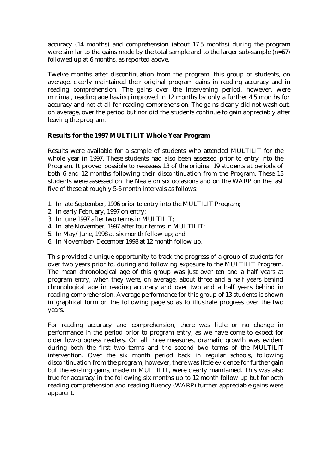accuracy (14 months) and comprehension (about 17.5 months) during the program were similar to the gains made by the total sample and to the larger sub-sample (n=57) followed up at 6 months, as reported above.

Twelve months after discontinuation from the program, this group of students, on average, clearly maintained their original program gains in reading accuracy and in reading comprehension. The gains over the intervening period, however, were minimal, reading age having improved in 12 months by only a further 4.5 months for accuracy and not at all for reading comprehension. The gains clearly did not wash out, on average, over the period but nor did the students continue to gain appreciably after leaving the program.

#### **Results for the 1997 MULTILIT Whole Year Program**

Results were available for a sample of students who attended MULTILIT for the whole year in 1997. These students had also been assessed prior to entry into the Program. It proved possible to re-assess 13 of the original 19 students at periods of both 6 and 12 months following their discontinuation from the Program. These 13 students were assessed on the Neale on six occasions and on the WARP on the last five of these at roughly 5-6 month intervals as follows:

- 1. In late September, 1996 prior to entry into the MULTILIT Program;
- 2. In early February, 1997 on entry;
- 3. In June 1997 after two terms in MULTILIT;
- 4. In late November, 1997 after four terms in MULTILIT;
- 5. In May/June, 1998 at six month follow up; and
- 6. In November/December 1998 at 12 month follow up.

This provided a unique opportunity to track the progress of a group of students for over two years prior to, during and following exposure to the MULTILIT Program. The mean chronological age of this group was just over ten and a half years at program entry, when they were, on average, about three and a half years behind chronological age in reading accuracy and over two and a half years behind in reading comprehension. Average performance for this group of 13 students is shown in graphical form on the following page so as to illustrate progress over the two years.

For reading accuracy and comprehension, there was little or no change in performance in the period prior to program entry, as we have come to expect for older low-progress readers. On all three measures, dramatic growth was evident during both the first two terms and the second two terms of the MULTILIT intervention. Over the six month period back in regular schools, following discontinuation from the program, however, there was little evidence for further gain but the existing gains, made in MULTILIT, were clearly maintained. This was also true for accuracy in the following six months up to 12 month follow up but for both reading comprehension and reading fluency (WARP) further appreciable gains were apparent.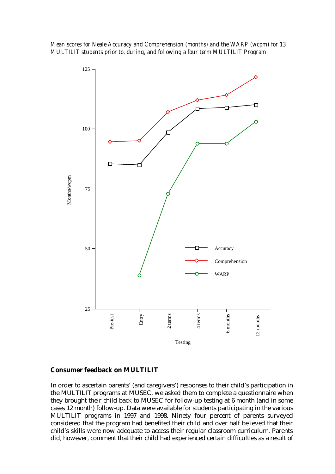*Mean scores for Neale Accuracy and Comprehension (months) and the WARP (wcpm) for 13 MULTILIT students prior to, during, and following a four term MULTILIT Program*



#### **Consumer feedback on MULTILIT**

In order to ascertain parents' (and caregivers') responses to their child's participation in the MULTILIT programs at MUSEC, we asked them to complete a questionnaire when they brought their child back to MUSEC for follow-up testing at 6 month (and in some cases 12 month) follow-up. Data were available for students participating in the various MULTILIT programs in 1997 and 1998. Ninety four percent of parents surveyed considered that the program had benefited their child and over half believed that their child's skills were now adequate to access their regular classroom curriculum. Parents did, however, comment that their child had experienced certain difficulties as a result of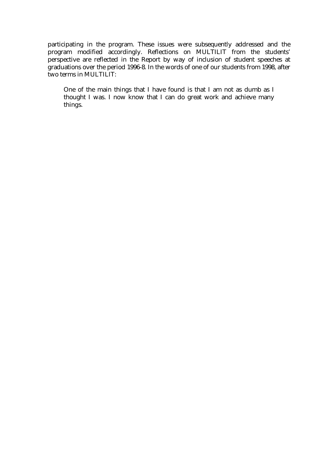participating in the program. These issues were subsequently addressed and the program modified accordingly. Reflections on MULTILIT from the students' perspective are reflected in the Report by way of inclusion of student speeches at graduations over the period 1996-8. In the words of one of our students from 1998, after two terms in MULTILIT:

One of the main things that I have found is that I am not as dumb as I thought I was. I now know that I can do great work and achieve many things.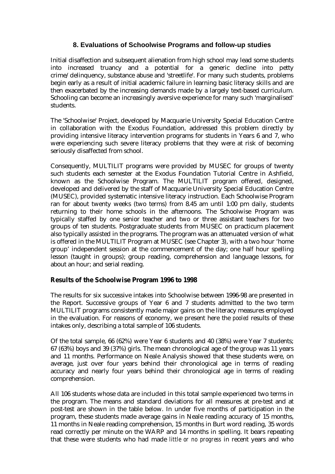### **8. Evaluations of Schoolwise Programs and follow-up studies**

Initial disaffection and subsequent alienation from high school may lead some students into increased truancy and a potential for a generic decline into petty crime/delinquency, substance abuse and 'streetlife'. For many such students, problems begin early as a result of initial academic failure in learning basic literacy skills and are then exacerbated by the increasing demands made by a largely text-based curriculum. Schooling can become an increasingly aversive experience for many such 'marginalised' students.

The 'Schoolwise' Project, developed by Macquarie University Special Education Centre in collaboration with the Exodus Foundation, addressed this problem directly by providing intensive literacy intervention programs for students in Years 6 and 7, who were experiencing such severe literacy problems that they were at risk of becoming seriously disaffected from school.

Consequently, MULTILIT programs were provided by MUSEC for groups of twenty such students each semester at the Exodus Foundation Tutorial Centre in Ashfield, known as the Schoolwise Program. The MULTILIT program offered, designed, developed and delivered by the staff of Macquarie University Special Education Centre (MUSEC), provided systematic intensive literacy instruction. Each Schoolwise Program ran for about twenty weeks (two terms) from 8.45 am until 1:00 pm daily, students returning to their home schools in the afternoons. The Schoolwise Program was typically staffed by one senior teacher and two or three assistant teachers for two groups of ten students. Postgraduate students from MUSEC on practicum placement also typically assisted in the programs. The program was an attenuated version of what is offered in the MULTILIT Program at MUSEC (see Chapter 3), with a two hour 'home group' independent session at the commencement of the day; one half hour spelling lesson (taught in groups); group reading, comprehension and language lessons, for about an hour; and serial reading.

#### **Results of the Schoolwise Program 1996 to 1998**

The results for six successive intakes into Schoolwise between 1996-98 are presented in the Report. Successive groups of Year 6 and 7 students admitted to the two term MULTILIT programs consistently made major gains on the literacy measures employed in the evaluation. For reasons of economy, we present here the *pooled* results of these intakes only, describing a total sample of 106 students.

Of the total sample, 66 (62%) were Year 6 students and 40 (38%) were Year 7 students; 67 (63%) boys and 39 (37%) girls. The mean chronological age of the group was 11 years and 11 months. Performance on Neale Analysis showed that these students were, on average, just over four years behind their chronological age in terms of reading accuracy and nearly four years behind their chronological age in terms of reading comprehension.

All 106 students whose data are included in this total sample experienced two terms in the program. The means and standard deviations for all measures at pre-test and at post-test are shown in the table below. In under five months of participation in the program, these students made average gains in Neale reading accuracy of 15 months, 11 months in Neale reading comprehension, 15 months in Burt word reading, 35 words read correctly per minute on the WARP and 14 months in spelling. It bears repeating that these were students who had made *little or no progress* in recent years and who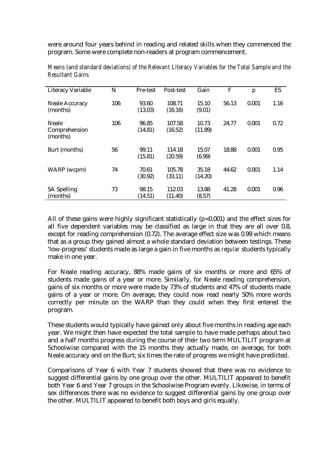were around four years behind in reading and related skills when they commenced the program. Some were complete non-readers at program commencement.

| <b>Literacy Variable</b>           | N   | Pre-test         | Post-test         | Gain             | F     | p     | ES   |
|------------------------------------|-----|------------------|-------------------|------------------|-------|-------|------|
| <b>Neale Accuracy</b><br>(months)  | 106 | 93.60<br>(13.03) | 108.71<br>(16.16) | 15.10<br>(9.01)  | 56.13 | 0.001 | 1.16 |
| Neale<br>Comprehension<br>(months) | 106 | 96.85<br>(14.81) | 107.58<br>(16.52) | 10.73<br>(11.89) | 24.77 | 0.001 | 0.72 |
| Burt (months)                      | 56  | 99.11<br>(15.81) | 114.18<br>(20.59) | 15.07<br>(6.99)  | 18.88 | 0.001 | 0.95 |
| WARP (wcpm)                        | 74  | 70.61<br>(30.92) | 105.78<br>(33.11) | 35.18<br>(14.20) | 44.62 | 0.001 | 1.14 |
| <b>SA Spelling</b><br>(months)     | 73  | 98.15<br>(14.51) | 112.03<br>(11.40) | 13.88<br>(8.57)  | 41.28 | 0.001 | 0.96 |

*Means (and standard deviations) of the Relevant Literacy Variables for the Total Sample and the Resultant Gains*

All of these gains were highly significant statistically  $(p<0.001)$  and the effect sizes for all five dependent variables may be classified as large in that they are all over 0.8, except for reading comprehension (0.72). The average effect size was 0.99 which means that as a group they gained almost a whole standard deviation between testings. These 'low-progress' students made as large a gain in five months as *regular* students typically make in one year.

For Neale reading accuracy, 88% made gains of six months or more and 65% of students made gains of a year or more. Similarly, for Neale reading comprehension, gains of six months or more were made by 73% of students and 47% of students made gains of a year or more. On average, they could now read nearly 50% more words correctly per minute on the WARP than they could when they first entered the program.

These students would typically have gained only about five months in reading age each year. We might then have expected the total sample to have made perhaps about two and a half months progress during the course of their two term MULTILIT program at Schoolwise compared with the 15 months they actually made, on average, for both Neale accuracy and on the Burt; six times the rate of progress we might have predicted.

Comparisons of Year 6 with Year 7 students showed that there was no evidence to suggest differential gains by one group over the other. MULTILIT appeared to benefit both Year 6 and Year 7 groups in the Schoolwise Program evenly. Likewise, in terms of sex differences there was no evidence to suggest differential gains by one group over the other. MULTILIT appeared to benefit both boys and girls equally.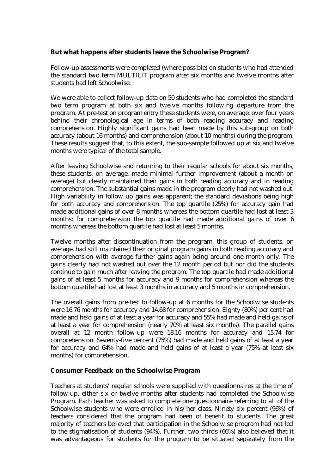#### **But what happens after students leave the Schoolwise Program?**

Follow-up assessments were completed (where possible) on students who had attended the standard two term MULTILIT program after six months and twelve months after students had left Schoolwise.

We were able to collect follow-up data on 50 students who had completed the standard two term program at both six and twelve months following departure from the program. At pre-test on program entry these students were, on average, over four years behind their chronological age in terms of both reading accuracy and reading comprehension. Highly significant gains had been made by this sub-group on both accuracy (about 16 months) and comprehension (about 10 months) during the program. These results suggest that, to this extent, the sub-sample followed up at six and twelve months were typical of the total sample.

After leaving Schoolwise and returning to their regular schools for about six months, these students, on average, made minimal further improvement (about a month on average) but clearly maintained their gains in both reading accuracy and in reading comprehension. The substantial gains made in the program clearly had not washed out. High variability in follow up gains was apparent; the standard deviations being high for both accuracy and comprehension. The top quartile (25%) for accuracy gain had made additional gains of over 8 months whereas the bottom quartile had lost at least 3 months; for comprehension the top quartile had made additional gains of over 6 months whereas the bottom quartile had lost at least 5 months.

Twelve months after discontinuation from the program, this group of students, on average, had still maintained their original program gains in both reading accuracy and comprehension with average further gains again being around one month only. The gains clearly had not washed out over the 12 month period but nor did the students continue to gain much after leaving the program. The top quartile had made additional gains of at least 5 months for accuracy and 9 months for comprehension whereas the bottom quartile had lost at least 3 months in accuracy and 5 months in comprehension.

The overall gains from pre-test to follow-up at 6 months for the Schoolwise students were 16.76 months for accuracy and 14.68 for comprehension. Eighty (80%) per cent had made and held gains of at least a year for accuracy and 55% had made and held gains of at least a year for comprehension (nearly 70% at least six months). The parallel gains overall at 12 month follow-up were 18.16 months for accuracy and 15.74 for comprehension. Seventy-five percent (75%) had made and held gains of at least a year for accuracy and 64% had made and held gains of at least a year (75% at least six months) for comprehension.

#### **Consumer Feedback on the Schoolwise Program**

Teachers at students' regular schools were supplied with questionnaires at the time of follow-up, either six or twelve months after students had completed the Schoolwise Program. Each teacher was asked to complete one questionnaire referring to all of the Schoolwise students who were enrolled in his/her class. Ninety six percent (96%) of teachers considered that the program had been of benefit to students. The great majority of teachers believed that participation in the Schoolwise program had not led to the stigmatisation of students (94%). Further, two thirds (66%) also believed that it was advantageous for students for the program to be situated separately from the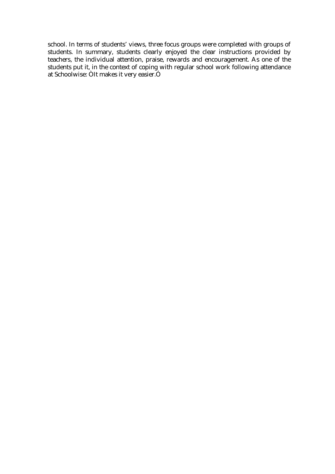school. In terms of students' views, three focus groups were completed with groups of students. In summary, students clearly enjoyed the clear instructions provided by teachers, the individual attention, praise, rewards and encouragement. As one of the students put it, in the context of coping with regular school work following attendance at Schoolwise: ÒIt makes it very easier.Ó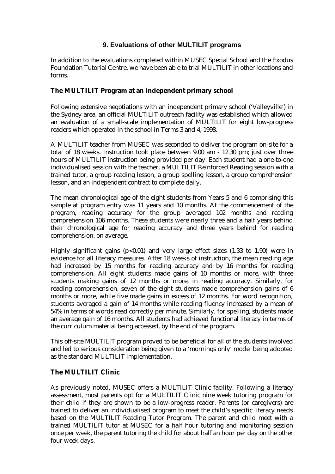#### **9. Evaluations of other MULTILIT programs**

In addition to the evaluations completed within MUSEC Special School and the Exodus Foundation Tutorial Centre, we have been able to trial MULTILIT in other locations and forms.

#### **The MULTILIT Program at an independent primary school**

Following extensive negotiations with an independent primary school ('Valleyville') in the Sydney area, an official MULTILIT outreach facility was established which allowed an evaluation of a small-scale implementation of MULTILIT for eight low-progress readers which operated in the school in Terms 3 and 4, 1998.

A MULTILIT teacher from MUSEC was seconded to deliver the program on-site for a total of 18 weeks. Instruction took place between 9.00 am - 12.30 pm; just over three hours of MULTILIT instruction being provided per day. Each student had a one-to-one individualised session with the teacher, a MULTILIT Reinforced Reading session with a trained tutor, a group reading lesson, a group spelling lesson, a group comprehension lesson, and an independent contract to complete daily.

The mean chronological age of the eight students from Years 5 and 6 comprising this sample at program entry was 11 years and 10 months. At the commencement of the program, reading accuracy for the group averaged 102 months and reading comprehension 106 months. These students were nearly three and a half years behind their chronological age for reading accuracy and three years behind for reading comprehension, on average.

Highly significant gains ( $p<0.01$ ) and very large effect sizes (1.33 to 1.90) were in evidence for all literacy measures. After 18 weeks of instruction, the mean reading age had increased by 15 months for reading accuracy and by 16 months for reading comprehension. All eight students made gains of 10 months or more, with three students making gains of 12 months or more, in reading accuracy. Similarly, for reading comprehension, seven of the eight students made comprehension gains of 6 months or more, while five made gains in excess of 12 months. For word recognition, students averaged a gain of 14 months while reading fluency increased by a mean of 54% in terms of words read correctly per minute. Similarly, for spelling, students made an average gain of 16 months. All students had achieved functional literacy in terms of the curriculum material being accessed, by the end of the program.

This off-site MULTILIT program proved to be beneficial for all of the students involved and led to serious consideration being given to a 'mornings only' model being adopted as the standard MULTILIT implementation.

### **The MULTILIT Clinic**

As previously noted, MUSEC offers a MULTILIT Clinic facility. Following a literacy assessment, most parents opt for a MULTILIT Clinic nine week tutoring program for their child if they are shown to be a low-progress reader. Parents (or caregivers) are trained to deliver an individualised program to meet the child's specific literacy needs based on the MULTILIT Reading Tutor Program. The parent and child meet with a trained MULTILIT tutor at MUSEC for a half hour tutoring and monitoring session once per week, the parent tutoring the child for about half an hour per day on the other four week days.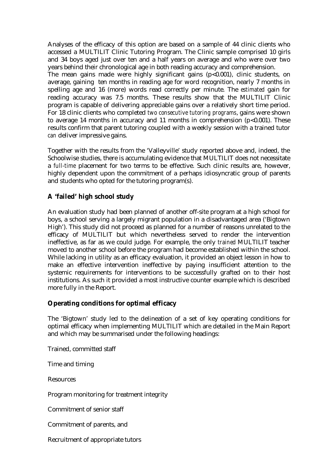Analyses of the efficacy of this option are based on a sample of 44 clinic clients who accessed a MULTILIT Clinic Tutoring Program. The Clinic sample comprised 10 girls and 34 boys aged just over ten and a half years on average and who were over two years behind their chronological age in both reading accuracy and comprehension.

The mean gains made were highly significant gains (p<0.001), clinic students, on average, gaining ten months in reading age for word recognition, nearly 7 months in spelling age and 16 (more) words read correctly per minute. The *estimated* gain for reading accuracy was 7.5 months. These results show that the MULTILIT Clinic program is capable of delivering appreciable gains over a relatively short time period. For 18 clinic clients who completed *two consecutive tutoring programs*, gains were shown to average 14 months in accuracy and 11 months in comprehension  $(p<0.001)$ . These results confirm that parent tutoring coupled with a weekly session with a trained tutor *can* deliver impressive gains.

Together with the results from the 'Valleyville' study reported above and, indeed, the Schoolwise studies, there is accumulating evidence that MULTILIT does not necessitate a *full-time* placement for two terms to be effective. Such clinic results are, however, highly dependent upon the commitment of a perhaps idiosyncratic group of parents and students who opted for the tutoring program(s).

#### **A 'failed' high school study**

An evaluation study had been planned of another off-site program at a high school for boys, a school serving a largely migrant population in a disadvantaged area ('Bigtown High'). This study did not proceed as planned for a number of reasons unrelated to the efficacy of MULTILIT but which nevertheless served to render the intervention ineffective, as far as we could judge. For example, the only *trained* MULTILIT teacher moved to another school before the program had become established within the school. While lacking in utility as an efficacy evaluation, it provided an object lesson in how to make an effective intervention ineffective by paying insufficient attention to the systemic requirements for interventions to be successfully grafted on to their host institutions. As such it provided a most instructive counter example which is described more fully in the Report.

#### **Operating conditions for optimal efficacy**

The 'Bigtown' study led to the delineation of a set of key operating conditions for optimal efficacy when implementing MULTILIT which are detailed in the Main Report and which may be summarised under the following headings:

Trained, committed staff

Time and timing

Resources

Program monitoring for treatment integrity

Commitment of senior staff

Commitment of parents, and

Recruitment of appropriate tutors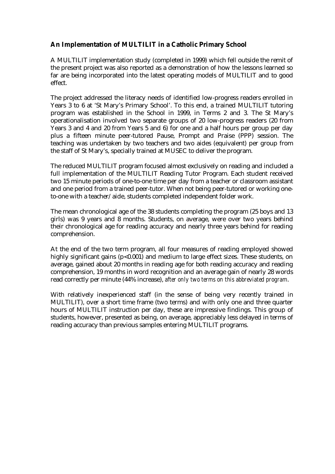### **An Implementation of MULTILIT in a Catholic Primary School**

A MULTILIT implementation study (completed in 1999) which fell outside the remit of the present project was also reported as a demonstration of how the lessons learned so far are being incorporated into the latest operating models of MULTILIT and to good effect.

The project addressed the literacy needs of identified low-progress readers enrolled in Years 3 to 6 at 'St Mary's Primary School'. To this end, a trained MULTILIT tutoring program was established in the School in 1999, in Terms 2 and 3. The St Mary's operationalisation involved two separate groups of 20 low-progress readers (20 from Years 3 and 4 and 20 from Years 5 and 6) for one and a half hours per group per day plus a fifteen minute peer-tutored Pause, Prompt and Praise (PPP) session. The teaching was undertaken by two teachers and two aides (equivalent) per group from the staff of St Mary's, specially trained at MUSEC to deliver the program.

The reduced MULTILIT program focused almost exclusively on reading and included a full implementation of the MULTILIT Reading Tutor Program. Each student received two 15 minute periods of one-to-one time per day from a teacher or classroom assistant and one period from a trained peer-tutor. When not being peer-tutored or working oneto-one with a teacher/aide, students completed independent folder work.

The mean chronological age of the 38 students completing the program (25 boys and 13 girls) was 9 years and 8 months. Students, on average, were over two years behind their chronological age for reading accuracy and nearly three years behind for reading comprehension.

At the end of the two term program, all four measures of reading employed showed highly significant gains (p<0.001) and medium to large effect sizes. These students, on average, gained about 20 months in reading age for both reading accuracy and reading comprehension, 19 months in word recognition and an average gain of nearly 28 words read correctly per minute (44% increase), *after only two terms on this abbreviated program*.

With relatively inexperienced staff (in the sense of being very recently trained in MULTILIT), over a short time frame (two terms) and with only one and three quarter hours of MULTILIT instruction per day, these are impressive findings. This group of students, however, presented as being, on average, appreciably less delayed in terms of reading accuracy than previous samples entering MULTILIT programs.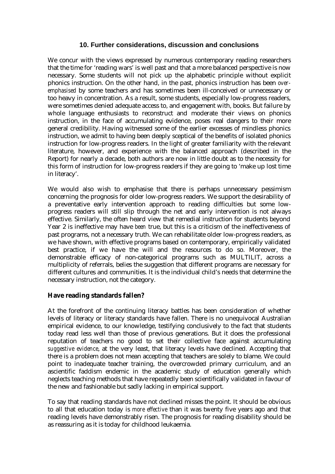#### **10. Further considerations, discussion and conclusions**

We concur with the views expressed by numerous contemporary reading researchers that the time for 'reading wars' is well past and that a more balanced perspective is now necessary. Some students will not pick up the alphabetic principle without explicit phonics instruction. On the other hand, in the past, phonics instruction has been *overemphasised* by some teachers and has sometimes been ill-conceived or unnecessary or too heavy in concentration. As a result, some students, especially low-progress readers, were sometimes denied adequate access to, and engagement with, books. But failure by whole language enthusiasts to reconstruct and moderate their views on phonics instruction, in the face of accumulating evidence, poses real dangers to their more general credibility. Having witnessed some of the earlier excesses of mindless phonics instruction, we admit to having been deeply sceptical of the benefits of isolated phonics instruction for low-progress readers. In the light of greater familiarity with the relevant literature, however, and experience with the balanced approach (described in the Report) for nearly a decade, both authors are now in little doubt as to the necessity for this form of instruction for low-progress readers if they are going to 'make up lost time in literacy'.

We would also wish to emphasise that there is perhaps unnecessary pessimism concerning the prognosis for older low-progress readers. We support the desirability of a preventative early intervention approach to reading difficulties but some lowprogress readers will still slip through the net and early intervention is not always effective. Similarly, the often heard view that remedial instruction for students beyond Year 2 is ineffective may have *been* true, but this is a criticism of the ineffectiveness of past programs, not a necessary truth. We can rehabilitate older low-progress readers, as we have shown, with effective programs based on contemporary, empirically validated best practice, if we have the will and the resources to do so. Moreover, the demonstrable efficacy of non-categorical programs such as MULTILIT, across a multiplicity of referrals, belies the suggestion that different programs are necessary for different cultures and communities. It is the individual child's needs that determine the necessary instruction, not the category.

#### **Have reading standards fallen?**

At the forefront of the continuing literacy battles has been consideration of whether levels of literacy or literacy standards have fallen. There is no unequivocal Australian empirical evidence, to our knowledge, testifying conclusively to the fact that students today read less well than those of previous generations. But it does the professional reputation of teachers no good to set their collective face against accumulating *suggestive evidence*, at the very least, that literacy levels have declined. Accepting that there is a problem does not mean accepting that teachers are solely to blame. We could point to inadequate teacher training, the overcrowded primary curriculum, and an ascientific faddism endemic in the academic study of education generally which neglects teaching methods that have repeatedly been scientifically validated in favour of the new and fashionable but sadly lacking in empirical support.

To say that reading standards have not declined misses the point. It should be obvious to all that education today is *more effective* than it was twenty five years ago and that reading levels have demonstrably risen. The prognosis for reading disability should be as reassuring as it is today for childhood leukaemia.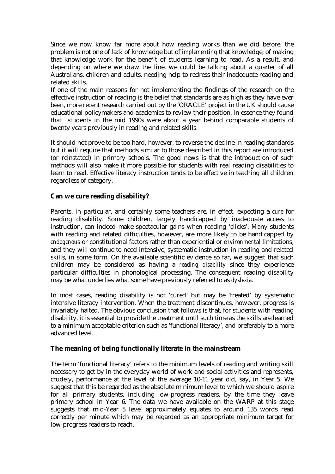Since we now know far more about how reading works than we did before, the problem is not one of lack of knowledge but of *implementing* that knowledge; of making that knowledge work for the benefit of students learning to read. As a result, and depending on where we draw the line, we could be talking about a quarter of all Australians, children and adults, needing help to redress their inadequate reading and related skills.

If one of the main reasons for not implementing the findings of the research on the effective instruction of reading is the belief that standards are as high as they have ever been, more recent research carried out by the 'ORACLE' project in the UK should cause educational policymakers and academics to review their position. In essence they found that students in the mid 1990s were about a year behind comparable students of twenty years previously in reading and related skills.

It should not prove to be too hard, however, to reverse the decline in reading standards but it will require that methods similar to those described in this report are introduced (or reinstated) in primary schools. The good news is that the introduction of such methods will also make it more possible for students with real reading disabilities to learn to read. Effective literacy instruction tends to be effective in teaching all children regardless of category.

#### **Can we cure reading disability?**

Parents, in particular, and certainly some teachers are, in effect, expecting a *cure* for reading disability. Some children, largely handicapped by inadequate access to instruction, can indeed make spectacular gains when reading 'clicks'. Many students with reading and related difficulties, however, are more likely to be handicapped by *endogenous* or constitutional factors rather than experiential or *environmenta*l limitations, and they will continue to need intensive, systematic instruction in reading and related skills, in some form. On the available scientific evidence so far, we suggest that such children may be considered as having a *reading disability* since they experience particular difficulties in phonological processing. The consequent reading disability may be what underlies what some have previously referred to as *dyslexia*.

In most cases, reading disability is not 'cured' but may be 'treated' by systematic intensive literacy intervention. When the treatment discontinues, however, progress is invariably halted. The obvious conclusion that follows is that, for students with reading disability, it is essential to provide the treatment until such time as the skills are learned to a minimum acceptable criterion such as 'functional literacy', and preferably to a more advanced level.

#### **The meaning of being functionally literate in the mainstream**

The term 'functional literacy' refers to the minimum levels of reading and writing skill necessary to get by in the everyday world of work and social activities and represents, crudely, performance at the level of the average 10-11 year old, say, in Year 5. We suggest that this be regarded as the absolute minimum level to which we should aspire for all primary students, including low-progress readers, by the time they leave primary school in Year 6. The data we have available on the WARP at this stage suggests that mid-Year 5 level approximately equates to around 135 words read correctly per minute which may be regarded as an appropriate minimum target for low-progress readers to reach.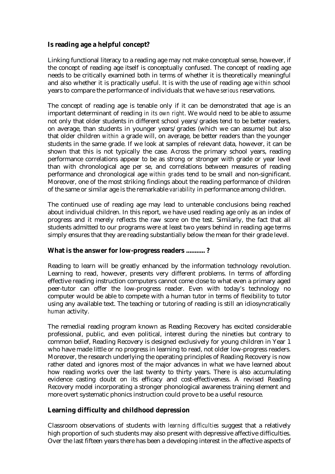#### **Is reading age a helpful concept?**

Linking functional literacy to a reading age may not make conceptual sense, however, if the concept of reading age itself is conceptually confused. The concept of reading age needs to be critically examined both in terms of whether it is theoretically meaningful and also whether it is practically useful. It is with the use of reading age *within* school years to compare the performance of individuals that we have *serious* reservations.

The concept of reading age is tenable only if it can be demonstrated that age is an important determinant of reading *in its own right*. We would need to be able to assume not only that older students in different school years/grades tend to be better readers, on average, than students in younger years/grades (which we can assume) but also that older children *within* a grade will, on average, be better readers than the younger students in the same grade. If we look at samples of relevant data, however, it can be shown that this is not typically the case. Across the primary school years, reading performance correlations appear to be as strong or stronger with grade or year level than with chronological age per se, and correlations between measures of reading performance and chronological age *within grades* tend to be small and non-significant. Moreover, one of the most striking findings about the reading performance of children of the same or similar age is the remarkable *variability* in performance among children.

The continued use of reading age may lead to untenable conclusions being reached about individual children. In this report, we have used reading age only as an index of progress and it merely reflects the raw score on the test. Similarly, the fact that all students admitted to our programs were at least two years behind in reading age terms simply ensures that they are reading substantially below the mean for their grade level.

#### **What is the answer for low-progress readers ........... ?**

Reading to learn will be greatly enhanced by the information technology revolution. Learning to read, however, presents very different problems. In terms of affording effective reading instruction computers cannot come close to what even a primary aged peer-tutor can offer the low-progress reader. Even with today's technology no computer would be able to compete with a human tutor in terms of flexibility to tutor using any available text. The teaching or tutoring of reading is still an idiosyncratically *human* activity.

The remedial reading program known as Reading Recovery has excited considerable professional, public, and even political, interest during the nineties but contrary to common belief, Reading Recovery is designed exclusively for young children in Year 1 who have made little or no progress in learning to read, not older low-progress readers. Moreover, the research underlying the operating principles of Reading Recovery is now rather dated and ignores most of the major advances in what we have learned about how reading works over the last twenty to thirty years. There is also accumulating evidence casting doubt on its efficacy and cost-effectiveness. A revised Reading Recovery model incorporating a stronger phonological awareness training element and more overt systematic phonics instruction could prove to be a useful resource.

### **Learning difficulty and childhood depression**

Classroom observations of students with *learning difficulties* suggest that a relatively high proportion of such students may also present with depressive affective difficulties. Over the last fifteen years there has been a developing interest in the affective aspects of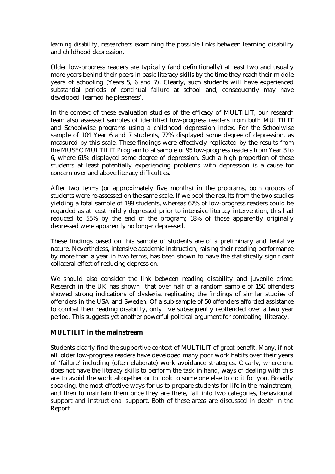*learning disability*, researchers examining the possible links between learning disability and childhood depression.

Older low-progress readers are typically (and definitionally) at least two and usually more years behind their peers in basic literacy skills by the time they reach their middle years of schooling (Years 5, 6 and 7). Clearly, such students will have experienced substantial periods of continual failure at school and, consequently may have developed 'learned helplessness'.

In the context of these evaluation studies of the efficacy of MULTILIT, our research team also assessed samples of identified low-progress readers from both MULTILIT and Schoolwise programs using a childhood depression index. For the Schoolwise sample of 104 Year 6 and 7 students, 72% displayed some degree of depression, as measured by this scale. These findings were effectively replicated by the results from the MUSEC MULTILIT Program total sample of 95 low-progress readers from Year 3 to 6, where 61% displayed some degree of depression. Such a high proportion of these students at least potentially experiencing problems with depression is a cause for concern over and above literacy difficulties.

After two terms (or approximately five months) in the programs, both groups of students were re-assessed on the same scale. If we pool the results from the two studies yielding a total sample of 199 students, whereas 67% of low-progress readers could be regarded as at least mildly depressed prior to intensive literacy intervention, this had reduced to 55% by the end of the program; 18% of those apparently originally depressed were apparently no longer depressed.

These findings based on this sample of students are of a preliminary and tentative nature. Nevertheless, intensive academic instruction, raising their reading performance by more than a year in two terms, has been shown to have the statistically significant collateral effect of reducing depression.

We should also consider the link between reading disability and juvenile crime. Research in the UK has shown that over half of a random sample of 150 offenders showed strong indications of dyslexia, replicating the findings of similar studies of offenders in the USA and Sweden. Of a sub-sample of 50 offenders afforded assistance to combat their reading disability, only five subsequently reoffended over a two year period. This suggests yet another powerful political argument for combating illiteracy.

#### **MULTILIT in the mainstream**

Students clearly find the supportive context of MULTILIT of great benefit. Many, if not all, older low-progress readers have developed many poor work habits over their years of 'failure' including (often elaborate) work avoidance strategies. Clearly, where one does not have the literacy skills to perform the task in hand, ways of dealing with this are to avoid the work altogether or to look to some one else to do it for you. Broadly speaking, the most effective ways for us to prepare students for life in the mainstream, and then to maintain them once they are there, fall into two categories, behavioural support and instructional support. Both of these areas are discussed in depth in the Report.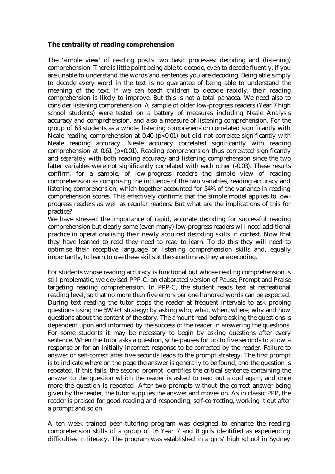#### **The centrality of reading comprehension**

The 'simple view' of reading posits two basic processes: decoding and (listening) comprehension. There is little point being able to decode, even to decode fluently, if you are unable to understand the words and sentences you are decoding. Being able simply to decode every word in the text is no guarantee of being able to understand the meaning of the text. If we can teach children to decode rapidly, their reading comprehension is likely to improve. But this is not a total panacea. We need also to consider listening comprehension. A sample of older low-progress readers (Year 7 high school students) were tested on a battery of measures including Neale Analysis accuracy and comprehension, and also a measure of listening comprehension. For the group of 63 students as a whole, listening comprehension correlated significantly with Neale reading comprehension at 0.40 (p<0.01) but did not correlate significantly with Neale reading accuracy. Neale accuracy correlated significantly with reading comprehension at  $0.61$  (p<0.01). Reading comprehension thus correlated significantly and *separately* with both reading accuracy and listening comprehension since the two latter variables were not significantly correlated with each other (-0.03). These results confirm, for a sample, of low-progress readers the simple view of reading comprehension as comprising the influence of the two variables, reading accuracy and listening comprehension, which together accounted for 54% of the variance in reading comprehension scores. This effectively confirms that the simple model applies to lowprogress readers as well as regular readers. But what are the implications of this for practice?

We have stressed the importance of rapid, accurate decoding for successful reading comprehension but clearly some (even many) low-progress readers will need additional practice in operationalising their newly acquired decoding skills in context. Now that they have learned to read they need to read to learn. To do this they will need to optimise their receptive language or listening comprehension skills and, equally importantly, to learn to use these skills *at the same time* as they are decoding.

For students whose reading accuracy is functional but whose reading comprehension is still problematic, we devised PPP-C; an elaborated version of Pause, Prompt and Praise targeting reading comprehension. In PPP-C, the student reads text at recreational reading level, so that no more than five errors per one hundred words can be expected. During text reading the tutor stops the reader at frequent intervals to ask probing questions using the 5W+H strategy; by asking who, what, when, where, why and how questions about the content of the story. The amount read before asking the questions is dependent upon and informed by the success of the reader in answering the questions. For some students it may be necessary to begin by asking questions after every sentence. When the tutor asks a question, s/he pauses for up to five seconds to allow a response or for an initially incorrect response to be corrected by the reader. Failure to answer or self-correct after five seconds leads to the prompt strategy. The first prompt is to indicate where on the page the answer is generally to be found, and the question is repeated. If this fails, the second prompt identifies the critical sentence containing the answer to the question which the reader is asked to read out aloud again, and once more the question is repeated. After two prompts without the correct answer being given by the reader, the tutor supplies the answer and moves on. As in classic PPP, the reader is praised for good reading and responding, self-correcting, working it out after a prompt and so on.

A ten week trained peer tutoring program was designed to enhance the reading comprehension skills of a group of 16 Year 7 and 8 girls identified as experiencing difficulties in literacy. The program was established in a girls' high school in Sydney